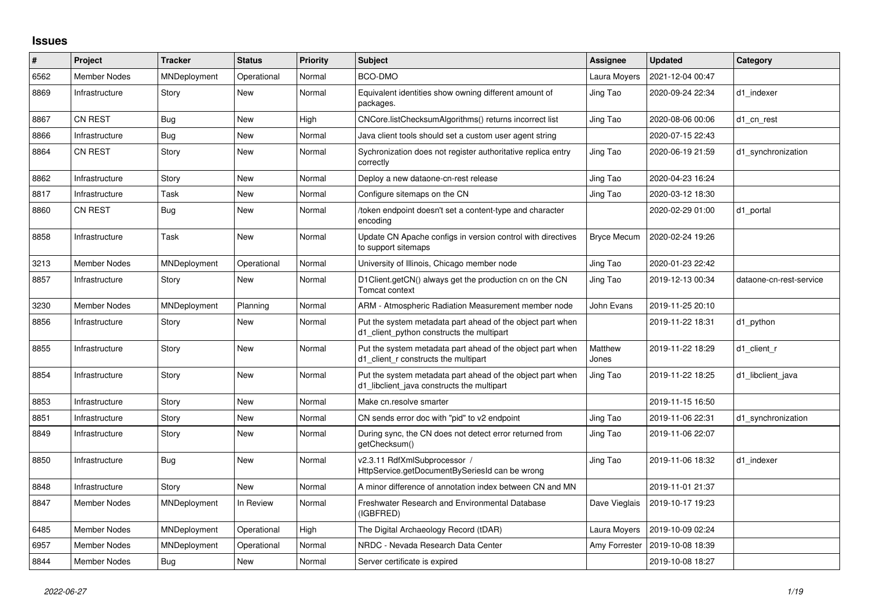## **Issues**

| #    | Project             | <b>Tracker</b> | <b>Status</b> | <b>Priority</b> | <b>Subject</b>                                                                                           | Assignee           | <b>Updated</b>   | Category                |
|------|---------------------|----------------|---------------|-----------------|----------------------------------------------------------------------------------------------------------|--------------------|------------------|-------------------------|
| 6562 | Member Nodes        | MNDeployment   | Operational   | Normal          | BCO-DMO                                                                                                  | Laura Moyers       | 2021-12-04 00:47 |                         |
| 8869 | Infrastructure      | Story          | New           | Normal          | Equivalent identities show owning different amount of<br>packages.                                       | Jing Tao           | 2020-09-24 22:34 | d1 indexer              |
| 8867 | <b>CN REST</b>      | <b>Bug</b>     | New           | High            | CNCore.listChecksumAlgorithms() returns incorrect list                                                   | Jing Tao           | 2020-08-06 00:06 | d1 cn rest              |
| 8866 | Infrastructure      | Bug            | New           | Normal          | Java client tools should set a custom user agent string                                                  |                    | 2020-07-15 22:43 |                         |
| 8864 | <b>CN REST</b>      | Story          | New           | Normal          | Sychronization does not register authoritative replica entry<br>correctly                                | Jing Tao           | 2020-06-19 21:59 | d1_synchronization      |
| 8862 | Infrastructure      | Story          | New           | Normal          | Deploy a new dataone-cn-rest release                                                                     | Jing Tao           | 2020-04-23 16:24 |                         |
| 8817 | Infrastructure      | Task           | New           | Normal          | Configure sitemaps on the CN                                                                             | Jing Tao           | 2020-03-12 18:30 |                         |
| 8860 | CN REST             | <b>Bug</b>     | New           | Normal          | /token endpoint doesn't set a content-type and character<br>encoding                                     |                    | 2020-02-29 01:00 | d1_portal               |
| 8858 | Infrastructure      | Task           | <b>New</b>    | Normal          | Update CN Apache configs in version control with directives<br>to support sitemaps                       | <b>Bryce Mecum</b> | 2020-02-24 19:26 |                         |
| 3213 | <b>Member Nodes</b> | MNDeployment   | Operational   | Normal          | University of Illinois, Chicago member node                                                              | Jing Tao           | 2020-01-23 22:42 |                         |
| 8857 | Infrastructure      | Story          | New           | Normal          | D1Client.getCN() always get the production cn on the CN<br>Tomcat context                                | Jing Tao           | 2019-12-13 00:34 | dataone-cn-rest-service |
| 3230 | <b>Member Nodes</b> | MNDeployment   | Planning      | Normal          | ARM - Atmospheric Radiation Measurement member node                                                      | John Evans         | 2019-11-25 20:10 |                         |
| 8856 | Infrastructure      | Story          | <b>New</b>    | Normal          | Put the system metadata part ahead of the object part when<br>d1 client python constructs the multipart  |                    | 2019-11-22 18:31 | d1 python               |
| 8855 | Infrastructure      | Story          | New           | Normal          | Put the system metadata part ahead of the object part when<br>d1 client r constructs the multipart       | Matthew<br>Jones   | 2019-11-22 18:29 | d1 client r             |
| 8854 | Infrastructure      | Story          | New           | Normal          | Put the system metadata part ahead of the object part when<br>d1 libclient java constructs the multipart | Jing Tao           | 2019-11-22 18:25 | d1 libclient java       |
| 8853 | Infrastructure      | Story          | <b>New</b>    | Normal          | Make cn.resolve smarter                                                                                  |                    | 2019-11-15 16:50 |                         |
| 8851 | Infrastructure      | Story          | New           | Normal          | CN sends error doc with "pid" to v2 endpoint                                                             | Jing Tao           | 2019-11-06 22:31 | d1 synchronization      |
| 8849 | Infrastructure      | Story          | New           | Normal          | During sync, the CN does not detect error returned from<br>getChecksum()                                 | Jing Tao           | 2019-11-06 22:07 |                         |
| 8850 | Infrastructure      | <b>Bug</b>     | New           | Normal          | v2.3.11 RdfXmlSubprocessor /<br>HttpService.getDocumentBySeriesId can be wrong                           | Jing Tao           | 2019-11-06 18:32 | d1 indexer              |
| 8848 | Infrastructure      | Story          | <b>New</b>    | Normal          | A minor difference of annotation index between CN and MN                                                 |                    | 2019-11-01 21:37 |                         |
| 8847 | <b>Member Nodes</b> | MNDeployment   | In Review     | Normal          | Freshwater Research and Environmental Database<br>(IGBFRED)                                              | Dave Vieglais      | 2019-10-17 19:23 |                         |
| 6485 | <b>Member Nodes</b> | MNDeployment   | Operational   | High            | The Digital Archaeology Record (tDAR)                                                                    | Laura Moyers       | 2019-10-09 02:24 |                         |
| 6957 | <b>Member Nodes</b> | MNDeployment   | Operational   | Normal          | NRDC - Nevada Research Data Center                                                                       | Amy Forrester      | 2019-10-08 18:39 |                         |
| 8844 | Member Nodes        | <b>Bug</b>     | <b>New</b>    | Normal          | Server certificate is expired                                                                            |                    | 2019-10-08 18:27 |                         |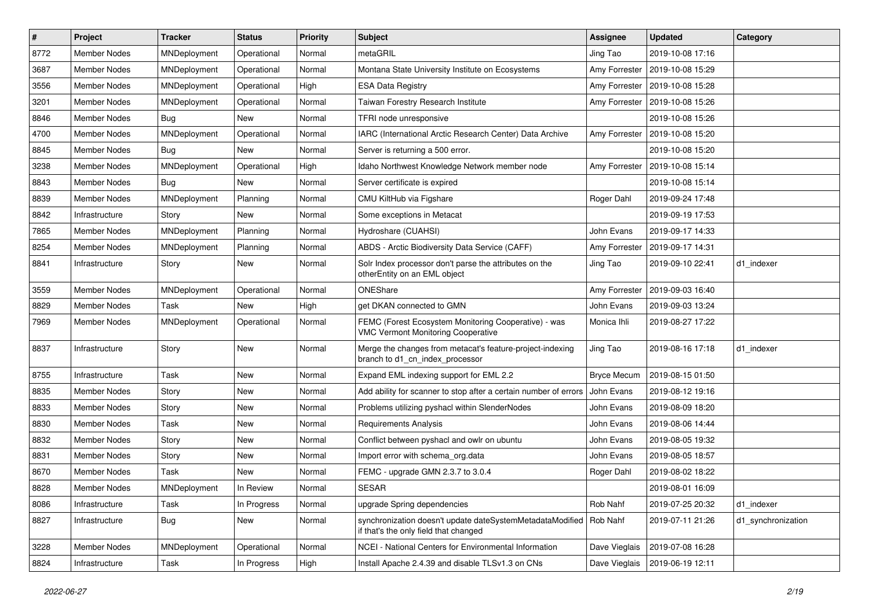| $\vert$ # | Project             | <b>Tracker</b>      | <b>Status</b> | <b>Priority</b> | Subject                                                                                            | <b>Assignee</b>    | <b>Updated</b>   | Category           |
|-----------|---------------------|---------------------|---------------|-----------------|----------------------------------------------------------------------------------------------------|--------------------|------------------|--------------------|
| 8772      | <b>Member Nodes</b> | MNDeployment        | Operational   | Normal          | metaGRIL                                                                                           | Jing Tao           | 2019-10-08 17:16 |                    |
| 3687      | <b>Member Nodes</b> | MNDeployment        | Operational   | Normal          | Montana State University Institute on Ecosystems                                                   | Amy Forrester      | 2019-10-08 15:29 |                    |
| 3556      | Member Nodes        | MNDeployment        | Operational   | High            | <b>ESA Data Registry</b>                                                                           | Amy Forrester      | 2019-10-08 15:28 |                    |
| 3201      | Member Nodes        | <b>MNDeployment</b> | Operational   | Normal          | Taiwan Forestry Research Institute                                                                 | Amy Forrester      | 2019-10-08 15:26 |                    |
| 8846      | <b>Member Nodes</b> | Bug                 | <b>New</b>    | Normal          | TFRI node unresponsive                                                                             |                    | 2019-10-08 15:26 |                    |
| 4700      | Member Nodes        | MNDeployment        | Operational   | Normal          | IARC (International Arctic Research Center) Data Archive                                           | Amy Forrester      | 2019-10-08 15:20 |                    |
| 8845      | <b>Member Nodes</b> | <b>Bug</b>          | New           | Normal          | Server is returning a 500 error.                                                                   |                    | 2019-10-08 15:20 |                    |
| 3238      | Member Nodes        | MNDeployment        | Operational   | High            | Idaho Northwest Knowledge Network member node                                                      | Amy Forrester      | 2019-10-08 15:14 |                    |
| 8843      | Member Nodes        | <b>Bug</b>          | New           | Normal          | Server certificate is expired                                                                      |                    | 2019-10-08 15:14 |                    |
| 8839      | Member Nodes        | MNDeployment        | Planning      | Normal          | CMU KiltHub via Figshare                                                                           | Roger Dahl         | 2019-09-24 17:48 |                    |
| 8842      | Infrastructure      | Story               | New           | Normal          | Some exceptions in Metacat                                                                         |                    | 2019-09-19 17:53 |                    |
| 7865      | Member Nodes        | MNDeployment        | Planning      | Normal          | Hydroshare (CUAHSI)                                                                                | John Evans         | 2019-09-17 14:33 |                    |
| 8254      | Member Nodes        | MNDeployment        | Planning      | Normal          | ABDS - Arctic Biodiversity Data Service (CAFF)                                                     | Amy Forrester      | 2019-09-17 14:31 |                    |
| 8841      | Infrastructure      | Story               | New           | Normal          | Solr Index processor don't parse the attributes on the<br>otherEntity on an EML object             | Jing Tao           | 2019-09-10 22:41 | d1 indexer         |
| 3559      | <b>Member Nodes</b> | MNDeployment        | Operational   | Normal          | ONEShare                                                                                           | Amy Forrester      | 2019-09-03 16:40 |                    |
| 8829      | Member Nodes        | Task                | New           | High            | get DKAN connected to GMN                                                                          | John Evans         | 2019-09-03 13:24 |                    |
| 7969      | Member Nodes        | MNDeployment        | Operational   | Normal          | FEMC (Forest Ecosystem Monitoring Cooperative) - was<br><b>VMC Vermont Monitoring Cooperative</b>  | Monica Ihli        | 2019-08-27 17:22 |                    |
| 8837      | Infrastructure      | Story               | New           | Normal          | Merge the changes from metacat's feature-project-indexing<br>branch to d1_cn_index_processor       | Jing Tao           | 2019-08-16 17:18 | d1 indexer         |
| 8755      | Infrastructure      | Task                | New           | Normal          | Expand EML indexing support for EML 2.2                                                            | <b>Bryce Mecum</b> | 2019-08-15 01:50 |                    |
| 8835      | Member Nodes        | Story               | New           | Normal          | Add ability for scanner to stop after a certain number of errors                                   | John Evans         | 2019-08-12 19:16 |                    |
| 8833      | Member Nodes        | Story               | New           | Normal          | Problems utilizing pyshacl within SlenderNodes                                                     | John Evans         | 2019-08-09 18:20 |                    |
| 8830      | Member Nodes        | Task                | New           | Normal          | Requirements Analysis                                                                              | John Evans         | 2019-08-06 14:44 |                    |
| 8832      | <b>Member Nodes</b> | Story               | New           | Normal          | Conflict between pyshacl and owlr on ubuntu                                                        | John Evans         | 2019-08-05 19:32 |                    |
| 8831      | <b>Member Nodes</b> | Story               | New           | Normal          | Import error with schema org.data                                                                  | John Evans         | 2019-08-05 18:57 |                    |
| 8670      | Member Nodes        | Task                | New           | Normal          | FEMC - upgrade GMN 2.3.7 to 3.0.4                                                                  | Roger Dahl         | 2019-08-02 18:22 |                    |
| 8828      | Member Nodes        | MNDeployment        | In Review     | Normal          | <b>SESAR</b>                                                                                       |                    | 2019-08-01 16:09 |                    |
| 8086      | Infrastructure      | Task                | In Progress   | Normal          | upgrade Spring dependencies                                                                        | Rob Nahf           | 2019-07-25 20:32 | d1 indexer         |
| 8827      | Infrastructure      | <b>Bug</b>          | New           | Normal          | synchronization doesn't update dateSystemMetadataModified<br>if that's the only field that changed | Rob Nahf           | 2019-07-11 21:26 | d1_synchronization |
| 3228      | Member Nodes        | MNDeployment        | Operational   | Normal          | NCEI - National Centers for Environmental Information                                              | Dave Vieglais      | 2019-07-08 16:28 |                    |
| 8824      | Infrastructure      | Task                | In Progress   | High            | Install Apache 2.4.39 and disable TLSv1.3 on CNs                                                   | Dave Vieglais      | 2019-06-19 12:11 |                    |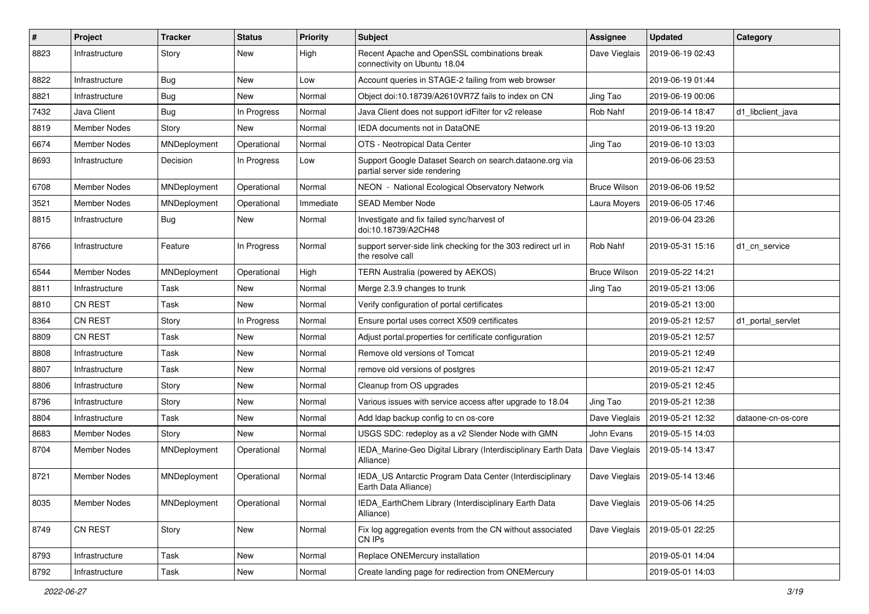| $\pmb{\#}$ | Project             | <b>Tracker</b> | <b>Status</b> | <b>Priority</b> | Subject                                                                                  | Assignee            | <b>Updated</b>   | Category           |
|------------|---------------------|----------------|---------------|-----------------|------------------------------------------------------------------------------------------|---------------------|------------------|--------------------|
| 8823       | Infrastructure      | Story          | New           | High            | Recent Apache and OpenSSL combinations break<br>connectivity on Ubuntu 18.04             | Dave Vieglais       | 2019-06-19 02:43 |                    |
| 8822       | Infrastructure      | <b>Bug</b>     | New           | Low             | Account queries in STAGE-2 failing from web browser                                      |                     | 2019-06-19 01:44 |                    |
| 8821       | Infrastructure      | <b>Bug</b>     | New           | Normal          | Object doi:10.18739/A2610VR7Z fails to index on CN                                       | Jing Tao            | 2019-06-19 00:06 |                    |
| 7432       | Java Client         | <b>Bug</b>     | In Progress   | Normal          | Java Client does not support idFilter for v2 release                                     | Rob Nahf            | 2019-06-14 18:47 | d1 libclient java  |
| 8819       | Member Nodes        | Story          | New           | Normal          | IEDA documents not in DataONE                                                            |                     | 2019-06-13 19:20 |                    |
| 6674       | Member Nodes        | MNDeployment   | Operational   | Normal          | OTS - Neotropical Data Center                                                            | Jing Tao            | 2019-06-10 13:03 |                    |
| 8693       | Infrastructure      | Decision       | In Progress   | Low             | Support Google Dataset Search on search.dataone.org via<br>partial server side rendering |                     | 2019-06-06 23:53 |                    |
| 6708       | <b>Member Nodes</b> | MNDeployment   | Operational   | Normal          | NEON - National Ecological Observatory Network                                           | <b>Bruce Wilson</b> | 2019-06-06 19:52 |                    |
| 3521       | Member Nodes        | MNDeployment   | Operational   | Immediate       | <b>SEAD Member Node</b>                                                                  | Laura Moyers        | 2019-06-05 17:46 |                    |
| 8815       | Infrastructure      | <b>Bug</b>     | New           | Normal          | Investigate and fix failed sync/harvest of<br>doi:10.18739/A2CH48                        |                     | 2019-06-04 23:26 |                    |
| 8766       | Infrastructure      | Feature        | In Progress   | Normal          | support server-side link checking for the 303 redirect url in<br>the resolve call        | Rob Nahf            | 2019-05-31 15:16 | d1_cn_service      |
| 6544       | <b>Member Nodes</b> | MNDeployment   | Operational   | High            | TERN Australia (powered by AEKOS)                                                        | <b>Bruce Wilson</b> | 2019-05-22 14:21 |                    |
| 8811       | Infrastructure      | Task           | New           | Normal          | Merge 2.3.9 changes to trunk                                                             | Jing Tao            | 2019-05-21 13:06 |                    |
| 8810       | CN REST             | Task           | New           | Normal          | Verify configuration of portal certificates                                              |                     | 2019-05-21 13:00 |                    |
| 8364       | CN REST             | Story          | In Progress   | Normal          | Ensure portal uses correct X509 certificates                                             |                     | 2019-05-21 12:57 | d1 portal servlet  |
| 8809       | CN REST             | Task           | New           | Normal          | Adjust portal properties for certificate configuration                                   |                     | 2019-05-21 12:57 |                    |
| 8808       | Infrastructure      | Task           | New           | Normal          | Remove old versions of Tomcat                                                            |                     | 2019-05-21 12:49 |                    |
| 8807       | Infrastructure      | Task           | New           | Normal          | remove old versions of postgres                                                          |                     | 2019-05-21 12:47 |                    |
| 8806       | Infrastructure      | Story          | New           | Normal          | Cleanup from OS upgrades                                                                 |                     | 2019-05-21 12:45 |                    |
| 8796       | Infrastructure      | Story          | New           | Normal          | Various issues with service access after upgrade to 18.04                                | Jing Tao            | 2019-05-21 12:38 |                    |
| 8804       | Infrastructure      | Task           | New           | Normal          | Add Idap backup config to cn os-core                                                     | Dave Vieglais       | 2019-05-21 12:32 | dataone-cn-os-core |
| 8683       | Member Nodes        | Story          | <b>New</b>    | Normal          | USGS SDC: redeploy as a v2 Slender Node with GMN                                         | John Evans          | 2019-05-15 14:03 |                    |
| 8704       | Member Nodes        | MNDeployment   | Operational   | Normal          | IEDA_Marine-Geo Digital Library (Interdisciplinary Earth Data<br>Alliance)               | Dave Vieglais       | 2019-05-14 13:47 |                    |
| 8721       | <b>Member Nodes</b> | MNDeployment   | Operational   | Normal          | IEDA_US Antarctic Program Data Center (Interdisciplinary<br>Earth Data Alliance)         | Dave Vieglais       | 2019-05-14 13:46 |                    |
| 8035       | Member Nodes        | MNDeployment   | Operational   | Normal          | IEDA_EarthChem Library (Interdisciplinary Earth Data<br>Alliance)                        | Dave Vieglais       | 2019-05-06 14:25 |                    |
| 8749       | CN REST             | Story          | New           | Normal          | Fix log aggregation events from the CN without associated<br>CN IPs                      | Dave Vieglais       | 2019-05-01 22:25 |                    |
| 8793       | Infrastructure      | Task           | New           | Normal          | Replace ONEMercury installation                                                          |                     | 2019-05-01 14:04 |                    |
| 8792       | Infrastructure      | Task           | New           | Normal          | Create landing page for redirection from ONEMercury                                      |                     | 2019-05-01 14:03 |                    |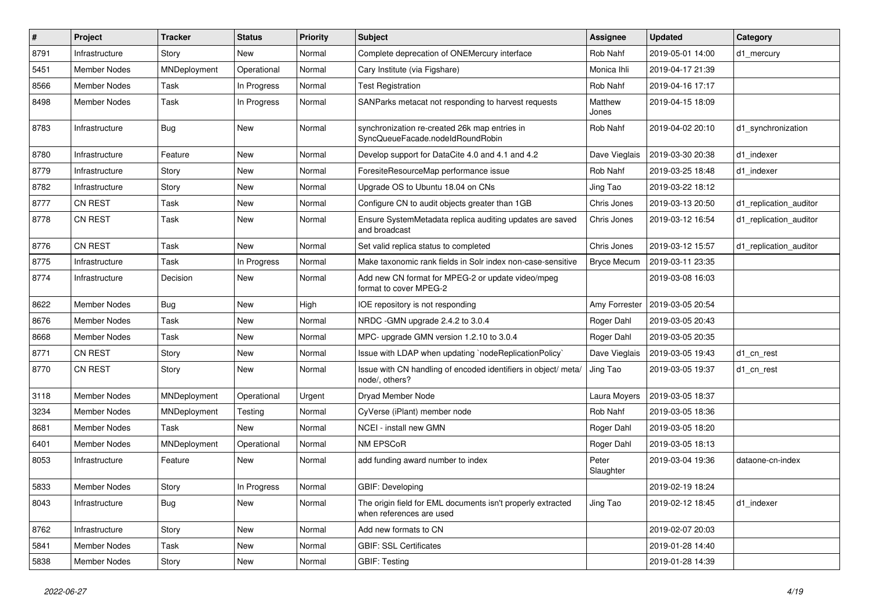| #    | Project             | <b>Tracker</b> | <b>Status</b> | <b>Priority</b> | Subject                                                                                 | Assignee           | <b>Updated</b>   | Category               |
|------|---------------------|----------------|---------------|-----------------|-----------------------------------------------------------------------------------------|--------------------|------------------|------------------------|
| 8791 | Infrastructure      | Story          | New           | Normal          | Complete deprecation of ONEMercury interface                                            | Rob Nahf           | 2019-05-01 14:00 | d1 mercury             |
| 5451 | <b>Member Nodes</b> | MNDeployment   | Operational   | Normal          | Cary Institute (via Figshare)                                                           | Monica Ihli        | 2019-04-17 21:39 |                        |
| 8566 | Member Nodes        | Task           | In Progress   | Normal          | <b>Test Registration</b>                                                                | Rob Nahf           | 2019-04-16 17:17 |                        |
| 8498 | Member Nodes        | Task           | In Progress   | Normal          | SANParks metacat not responding to harvest requests                                     | Matthew<br>Jones   | 2019-04-15 18:09 |                        |
| 8783 | Infrastructure      | <b>Bug</b>     | New           | Normal          | synchronization re-created 26k map entries in<br>SyncQueueFacade.nodeIdRoundRobin       | Rob Nahf           | 2019-04-02 20:10 | d1_synchronization     |
| 8780 | Infrastructure      | Feature        | New           | Normal          | Develop support for DataCite 4.0 and 4.1 and 4.2                                        | Dave Vieglais      | 2019-03-30 20:38 | d1 indexer             |
| 8779 | Infrastructure      | Story          | New           | Normal          | ForesiteResourceMap performance issue                                                   | Rob Nahf           | 2019-03-25 18:48 | d1 indexer             |
| 8782 | Infrastructure      | Story          | New           | Normal          | Upgrade OS to Ubuntu 18.04 on CNs                                                       | Jing Tao           | 2019-03-22 18:12 |                        |
| 8777 | CN REST             | Task           | New           | Normal          | Configure CN to audit objects greater than 1GB                                          | Chris Jones        | 2019-03-13 20:50 | d1 replication auditor |
| 8778 | CN REST             | Task           | New           | Normal          | Ensure SystemMetadata replica auditing updates are saved<br>and broadcast               | Chris Jones        | 2019-03-12 16:54 | d1 replication auditor |
| 8776 | CN REST             | Task           | New           | Normal          | Set valid replica status to completed                                                   | Chris Jones        | 2019-03-12 15:57 | d1 replication auditor |
| 8775 | Infrastructure      | Task           | In Progress   | Normal          | Make taxonomic rank fields in Solr index non-case-sensitive                             | <b>Bryce Mecum</b> | 2019-03-11 23:35 |                        |
| 8774 | Infrastructure      | Decision       | New           | Normal          | Add new CN format for MPEG-2 or update video/mpeg<br>format to cover MPEG-2             |                    | 2019-03-08 16:03 |                        |
| 8622 | <b>Member Nodes</b> | <b>Bug</b>     | New           | High            | IOE repository is not responding                                                        | Amy Forrester      | 2019-03-05 20:54 |                        |
| 8676 | Member Nodes        | Task           | New           | Normal          | NRDC -GMN upgrade 2.4.2 to 3.0.4                                                        | Roger Dahl         | 2019-03-05 20:43 |                        |
| 8668 | Member Nodes        | Task           | New           | Normal          | MPC- upgrade GMN version 1.2.10 to 3.0.4                                                | Roger Dahl         | 2019-03-05 20:35 |                        |
| 8771 | <b>CN REST</b>      | Story          | New           | Normal          | Issue with LDAP when updating `nodeReplicationPolicy`                                   | Dave Vieglais      | 2019-03-05 19:43 | d1 cn rest             |
| 8770 | <b>CN REST</b>      | Story          | New           | Normal          | Issue with CN handling of encoded identifiers in object/ meta/<br>node/, others?        | Jing Tao           | 2019-03-05 19:37 | d1_cn_rest             |
| 3118 | Member Nodes        | MNDeployment   | Operational   | Urgent          | Dryad Member Node                                                                       | Laura Moyers       | 2019-03-05 18:37 |                        |
| 3234 | Member Nodes        | MNDeployment   | Testing       | Normal          | CyVerse (iPlant) member node                                                            | Rob Nahf           | 2019-03-05 18:36 |                        |
| 8681 | Member Nodes        | Task           | New           | Normal          | NCEI - install new GMN                                                                  | Roger Dahl         | 2019-03-05 18:20 |                        |
| 6401 | Member Nodes        | MNDeployment   | Operational   | Normal          | NM EPSCoR                                                                               | Roger Dahl         | 2019-03-05 18:13 |                        |
| 8053 | Infrastructure      | Feature        | New           | Normal          | add funding award number to index                                                       | Peter<br>Slaughter | 2019-03-04 19:36 | dataone-cn-index       |
| 5833 | <b>Member Nodes</b> | Story          | In Progress   | Normal          | GBIF: Developing                                                                        |                    | 2019-02-19 18:24 |                        |
| 8043 | Infrastructure      | <b>Bug</b>     | New           | Normal          | The origin field for EML documents isn't properly extracted<br>when references are used | Jing Tao           | 2019-02-12 18:45 | d1_indexer             |
| 8762 | Infrastructure      | Story          | New           | Normal          | Add new formats to CN                                                                   |                    | 2019-02-07 20:03 |                        |
| 5841 | <b>Member Nodes</b> | Task           | New           | Normal          | <b>GBIF: SSL Certificates</b>                                                           |                    | 2019-01-28 14:40 |                        |
| 5838 | Member Nodes        | Story          | New           | Normal          | <b>GBIF: Testing</b>                                                                    |                    | 2019-01-28 14:39 |                        |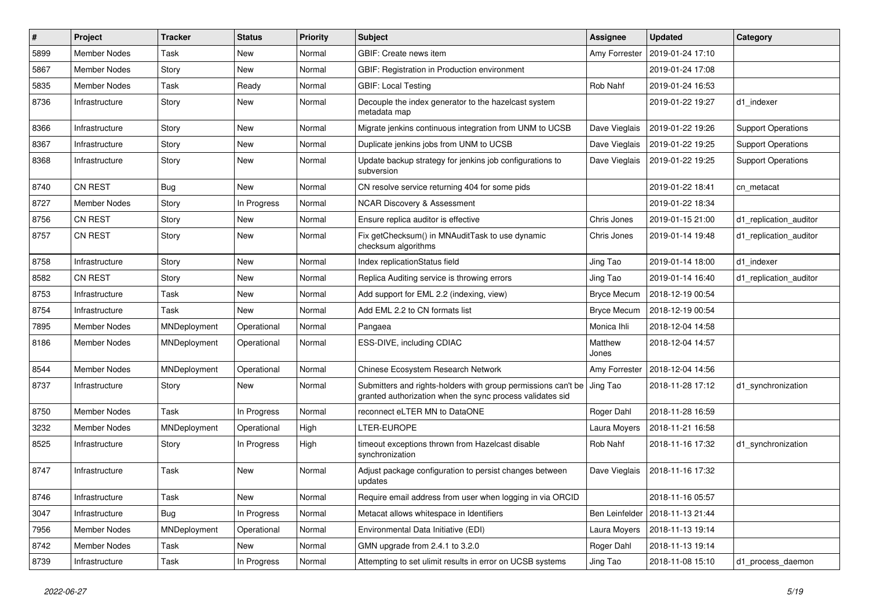| #    | Project             | <b>Tracker</b> | <b>Status</b> | <b>Priority</b> | Subject                                                                                                                    | Assignee           | <b>Updated</b>   | Category                  |
|------|---------------------|----------------|---------------|-----------------|----------------------------------------------------------------------------------------------------------------------------|--------------------|------------------|---------------------------|
| 5899 | <b>Member Nodes</b> | Task           | New           | Normal          | GBIF: Create news item                                                                                                     | Amy Forrester      | 2019-01-24 17:10 |                           |
| 5867 | <b>Member Nodes</b> | Story          | New           | Normal          | GBIF: Registration in Production environment                                                                               |                    | 2019-01-24 17:08 |                           |
| 5835 | Member Nodes        | Task           | Ready         | Normal          | <b>GBIF: Local Testing</b>                                                                                                 | Rob Nahf           | 2019-01-24 16:53 |                           |
| 8736 | Infrastructure      | Story          | New           | Normal          | Decouple the index generator to the hazelcast system<br>metadata map                                                       |                    | 2019-01-22 19:27 | d1_indexer                |
| 8366 | Infrastructure      | Story          | New           | Normal          | Migrate jenkins continuous integration from UNM to UCSB                                                                    | Dave Vieglais      | 2019-01-22 19:26 | <b>Support Operations</b> |
| 8367 | Infrastructure      | Story          | New           | Normal          | Duplicate jenkins jobs from UNM to UCSB                                                                                    | Dave Vieglais      | 2019-01-22 19:25 | <b>Support Operations</b> |
| 8368 | Infrastructure      | Story          | New           | Normal          | Update backup strategy for jenkins job configurations to<br>subversion                                                     | Dave Vieglais      | 2019-01-22 19:25 | <b>Support Operations</b> |
| 8740 | CN REST             | <b>Bug</b>     | New           | Normal          | CN resolve service returning 404 for some pids                                                                             |                    | 2019-01-22 18:41 | cn metacat                |
| 8727 | Member Nodes        | Story          | In Progress   | Normal          | <b>NCAR Discovery &amp; Assessment</b>                                                                                     |                    | 2019-01-22 18:34 |                           |
| 8756 | CN REST             | Story          | New           | Normal          | Ensure replica auditor is effective                                                                                        | Chris Jones        | 2019-01-15 21:00 | d1_replication_auditor    |
| 8757 | <b>CN REST</b>      | Story          | New           | Normal          | Fix getChecksum() in MNAuditTask to use dynamic<br>checksum algorithms                                                     | Chris Jones        | 2019-01-14 19:48 | d1_replication_auditor    |
| 8758 | Infrastructure      | Story          | New           | Normal          | Index replicationStatus field                                                                                              | Jing Tao           | 2019-01-14 18:00 | d1_indexer                |
| 8582 | CN REST             | Story          | New           | Normal          | Replica Auditing service is throwing errors                                                                                | Jing Tao           | 2019-01-14 16:40 | d1_replication_auditor    |
| 8753 | Infrastructure      | Task           | New           | Normal          | Add support for EML 2.2 (indexing, view)                                                                                   | <b>Bryce Mecum</b> | 2018-12-19 00:54 |                           |
| 8754 | Infrastructure      | Task           | New           | Normal          | Add EML 2.2 to CN formats list                                                                                             | <b>Bryce Mecum</b> | 2018-12-19 00:54 |                           |
| 7895 | Member Nodes        | MNDeployment   | Operational   | Normal          | Pangaea                                                                                                                    | Monica Ihli        | 2018-12-04 14:58 |                           |
| 8186 | Member Nodes        | MNDeployment   | Operational   | Normal          | ESS-DIVE, including CDIAC                                                                                                  | Matthew<br>Jones   | 2018-12-04 14:57 |                           |
| 8544 | <b>Member Nodes</b> | MNDeployment   | Operational   | Normal          | Chinese Ecosystem Research Network                                                                                         | Amy Forrester      | 2018-12-04 14:56 |                           |
| 8737 | Infrastructure      | Story          | New           | Normal          | Submitters and rights-holders with group permissions can't be<br>granted authorization when the sync process validates sid | Jing Tao           | 2018-11-28 17:12 | d1 synchronization        |
| 8750 | <b>Member Nodes</b> | Task           | In Progress   | Normal          | reconnect eLTER MN to DataONE                                                                                              | Roger Dahl         | 2018-11-28 16:59 |                           |
| 3232 | <b>Member Nodes</b> | MNDeployment   | Operational   | High            | LTER-EUROPE                                                                                                                | Laura Moyers       | 2018-11-21 16:58 |                           |
| 8525 | Infrastructure      | Story          | In Progress   | High            | timeout exceptions thrown from Hazelcast disable<br>synchronization                                                        | Rob Nahf           | 2018-11-16 17:32 | d1_synchronization        |
| 8747 | Infrastructure      | Task           | New           | Normal          | Adjust package configuration to persist changes between<br>updates                                                         | Dave Vieglais      | 2018-11-16 17:32 |                           |
| 8746 | Infrastructure      | Task           | New           | Normal          | Require email address from user when logging in via ORCID                                                                  |                    | 2018-11-16 05:57 |                           |
| 3047 | Infrastructure      | Bug            | In Progress   | Normal          | Metacat allows whitespace in Identifiers                                                                                   | Ben Leinfelder     | 2018-11-13 21:44 |                           |
| 7956 | Member Nodes        | MNDeployment   | Operational   | Normal          | Environmental Data Initiative (EDI)                                                                                        | Laura Moyers       | 2018-11-13 19:14 |                           |
| 8742 | Member Nodes        | Task           | New           | Normal          | GMN upgrade from 2.4.1 to 3.2.0                                                                                            | Roger Dahl         | 2018-11-13 19:14 |                           |
| 8739 | Infrastructure      | Task           | In Progress   | Normal          | Attempting to set ulimit results in error on UCSB systems                                                                  | Jing Tao           | 2018-11-08 15:10 | d1_process_daemon         |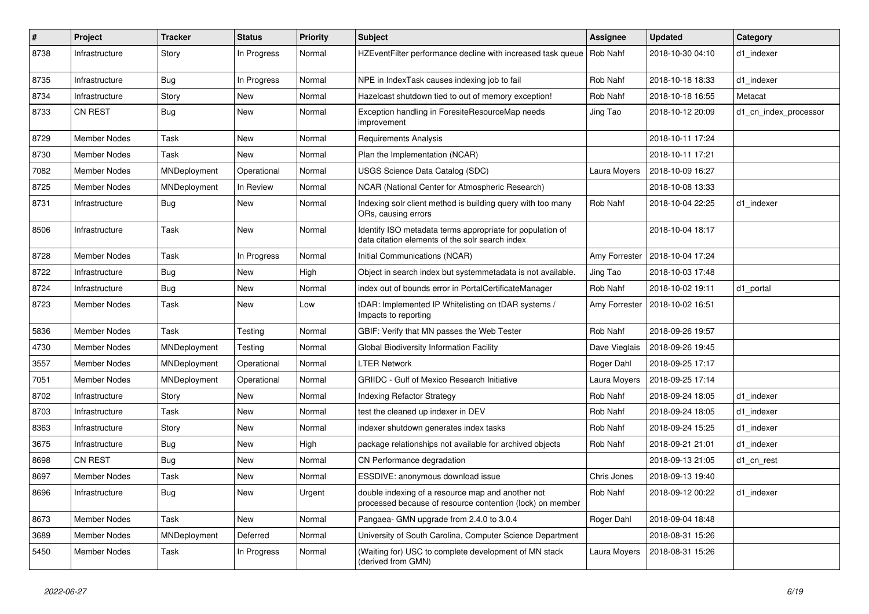| $\#$ | Project             | <b>Tracker</b> | <b>Status</b> | <b>Priority</b> | Subject                                                                                                        | <b>Assignee</b> | <b>Updated</b>                   | Category              |
|------|---------------------|----------------|---------------|-----------------|----------------------------------------------------------------------------------------------------------------|-----------------|----------------------------------|-----------------------|
| 8738 | Infrastructure      | Story          | In Progress   | Normal          | HZEventFilter performance decline with increased task queue   Rob Nahf                                         |                 | 2018-10-30 04:10                 | d1 indexer            |
| 8735 | Infrastructure      | <b>Bug</b>     | In Progress   | Normal          | NPE in IndexTask causes indexing job to fail                                                                   | Rob Nahf        | 2018-10-18 18:33                 | d1 indexer            |
| 8734 | Infrastructure      | Story          | New           | Normal          | Hazelcast shutdown tied to out of memory exception!                                                            | Rob Nahf        | 2018-10-18 16:55                 | Metacat               |
| 8733 | <b>CN REST</b>      | <b>Bug</b>     | New           | Normal          | Exception handling in ForesiteResourceMap needs<br>improvement                                                 | Jing Tao        | 2018-10-12 20:09                 | d1_cn_index_processor |
| 8729 | <b>Member Nodes</b> | Task           | New           | Normal          | Requirements Analysis                                                                                          |                 | 2018-10-11 17:24                 |                       |
| 8730 | <b>Member Nodes</b> | Task           | <b>New</b>    | Normal          | Plan the Implementation (NCAR)                                                                                 |                 | 2018-10-11 17:21                 |                       |
| 7082 | <b>Member Nodes</b> | MNDeployment   | Operational   | Normal          | <b>USGS Science Data Catalog (SDC)</b>                                                                         | Laura Moyers    | 2018-10-09 16:27                 |                       |
| 8725 | <b>Member Nodes</b> | MNDeployment   | In Review     | Normal          | NCAR (National Center for Atmospheric Research)                                                                |                 | 2018-10-08 13:33                 |                       |
| 8731 | Infrastructure      | <b>Bug</b>     | New           | Normal          | Indexing solr client method is building query with too many<br>ORs, causing errors                             | Rob Nahf        | 2018-10-04 22:25                 | d1 indexer            |
| 8506 | Infrastructure      | Task           | <b>New</b>    | Normal          | Identify ISO metadata terms appropriate for population of<br>data citation elements of the solr search index   |                 | 2018-10-04 18:17                 |                       |
| 8728 | Member Nodes        | Task           | In Progress   | Normal          | Initial Communications (NCAR)                                                                                  |                 | Amy Forrester   2018-10-04 17:24 |                       |
| 8722 | Infrastructure      | <b>Bug</b>     | New           | High            | Object in search index but systemmetadata is not available.                                                    | Jing Tao        | 2018-10-03 17:48                 |                       |
| 8724 | Infrastructure      | <b>Bug</b>     | New           | Normal          | index out of bounds error in PortalCertificateManager                                                          | Rob Nahf        | 2018-10-02 19:11                 | d1_portal             |
| 8723 | Member Nodes        | Task           | New           | Low             | tDAR: Implemented IP Whitelisting on tDAR systems /<br>Impacts to reporting                                    |                 | Amy Forrester   2018-10-02 16:51 |                       |
| 5836 | <b>Member Nodes</b> | Task           | Testing       | Normal          | GBIF: Verify that MN passes the Web Tester                                                                     | Rob Nahf        | 2018-09-26 19:57                 |                       |
| 4730 | <b>Member Nodes</b> | MNDeployment   | Testing       | Normal          | Global Biodiversity Information Facility                                                                       | Dave Vieglais   | 2018-09-26 19:45                 |                       |
| 3557 | Member Nodes        | MNDeployment   | Operational   | Normal          | <b>LTER Network</b>                                                                                            | Roger Dahl      | 2018-09-25 17:17                 |                       |
| 7051 | Member Nodes        | MNDeployment   | Operational   | Normal          | <b>GRIIDC</b> - Gulf of Mexico Research Initiative                                                             | Laura Moyers    | 2018-09-25 17:14                 |                       |
| 8702 | Infrastructure      | Story          | New           | Normal          | <b>Indexing Refactor Strategy</b>                                                                              | Rob Nahf        | 2018-09-24 18:05                 | d1 indexer            |
| 8703 | Infrastructure      | Task           | New           | Normal          | test the cleaned up indexer in DEV                                                                             | Rob Nahf        | 2018-09-24 18:05                 | d1 indexer            |
| 8363 | Infrastructure      | Story          | New           | Normal          | indexer shutdown generates index tasks                                                                         | Rob Nahf        | 2018-09-24 15:25                 | d1 indexer            |
| 3675 | Infrastructure      | <b>Bug</b>     | New           | High            | package relationships not available for archived objects                                                       | Rob Nahf        | 2018-09-21 21:01                 | d1 indexer            |
| 8698 | <b>CN REST</b>      | Bug            | New           | Normal          | CN Performance degradation                                                                                     |                 | 2018-09-13 21:05                 | d1_cn_rest            |
| 8697 | Member Nodes        | Task           | New           | Normal          | ESSDIVE: anonymous download issue                                                                              | Chris Jones     | 2018-09-13 19:40                 |                       |
| 8696 | Infrastructure      | Bug            | New           | Urgent          | double indexing of a resource map and another not<br>processed because of resource contention (lock) on member | Rob Nahf        | 2018-09-12 00:22                 | d1_indexer            |
| 8673 | <b>Member Nodes</b> | Task           | New           | Normal          | Pangaea- GMN upgrade from 2.4.0 to 3.0.4                                                                       | Roger Dahl      | 2018-09-04 18:48                 |                       |
| 3689 | <b>Member Nodes</b> | MNDeployment   | Deferred      | Normal          | University of South Carolina, Computer Science Department                                                      |                 | 2018-08-31 15:26                 |                       |
| 5450 | Member Nodes        | Task           | In Progress   | Normal          | (Waiting for) USC to complete development of MN stack<br>(derived from GMN)                                    | Laura Moyers    | 2018-08-31 15:26                 |                       |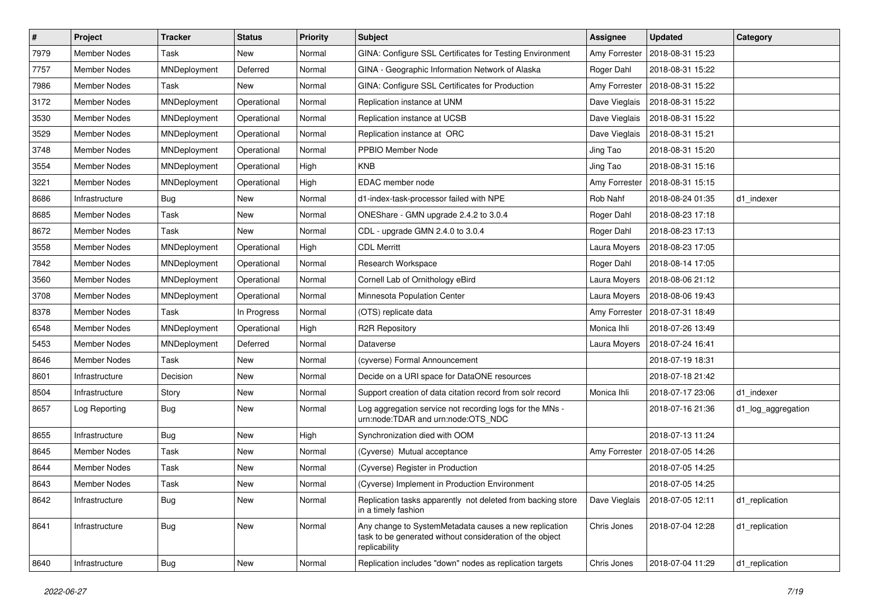| $\vert$ # | Project             | <b>Tracker</b> | <b>Status</b> | <b>Priority</b> | Subject                                                                                                                            | <b>Assignee</b> | <b>Updated</b>   | Category           |
|-----------|---------------------|----------------|---------------|-----------------|------------------------------------------------------------------------------------------------------------------------------------|-----------------|------------------|--------------------|
| 7979      | <b>Member Nodes</b> | Task           | New           | Normal          | GINA: Configure SSL Certificates for Testing Environment                                                                           | Amy Forrester   | 2018-08-31 15:23 |                    |
| 7757      | <b>Member Nodes</b> | MNDeployment   | Deferred      | Normal          | GINA - Geographic Information Network of Alaska                                                                                    | Roger Dahl      | 2018-08-31 15:22 |                    |
| 7986      | Member Nodes        | Task           | New           | Normal          | GINA: Configure SSL Certificates for Production                                                                                    | Amy Forrester   | 2018-08-31 15:22 |                    |
| 3172      | Member Nodes        | MNDeployment   | Operational   | Normal          | Replication instance at UNM                                                                                                        | Dave Vieglais   | 2018-08-31 15:22 |                    |
| 3530      | <b>Member Nodes</b> | MNDeployment   | Operational   | Normal          | Replication instance at UCSB                                                                                                       | Dave Vieglais   | 2018-08-31 15:22 |                    |
| 3529      | <b>Member Nodes</b> | MNDeployment   | Operational   | Normal          | Replication instance at ORC                                                                                                        | Dave Vieglais   | 2018-08-31 15:21 |                    |
| 3748      | <b>Member Nodes</b> | MNDeployment   | Operational   | Normal          | PPBIO Member Node                                                                                                                  | Jing Tao        | 2018-08-31 15:20 |                    |
| 3554      | <b>Member Nodes</b> | MNDeployment   | Operational   | High            | <b>KNB</b>                                                                                                                         | Jing Tao        | 2018-08-31 15:16 |                    |
| 3221      | Member Nodes        | MNDeployment   | Operational   | High            | EDAC member node                                                                                                                   | Amy Forrester   | 2018-08-31 15:15 |                    |
| 8686      | Infrastructure      | <b>Bug</b>     | New           | Normal          | d1-index-task-processor failed with NPE                                                                                            | Rob Nahf        | 2018-08-24 01:35 | d1 indexer         |
| 8685      | Member Nodes        | Task           | New           | Normal          | ONEShare - GMN upgrade 2.4.2 to 3.0.4                                                                                              | Roger Dahl      | 2018-08-23 17:18 |                    |
| 8672      | <b>Member Nodes</b> | Task           | New           | Normal          | CDL - upgrade GMN 2.4.0 to 3.0.4                                                                                                   | Roger Dahl      | 2018-08-23 17:13 |                    |
| 3558      | <b>Member Nodes</b> | MNDeployment   | Operational   | High            | <b>CDL Merritt</b>                                                                                                                 | Laura Moyers    | 2018-08-23 17:05 |                    |
| 7842      | <b>Member Nodes</b> | MNDeployment   | Operational   | Normal          | Research Workspace                                                                                                                 | Roger Dahl      | 2018-08-14 17:05 |                    |
| 3560      | <b>Member Nodes</b> | MNDeployment   | Operational   | Normal          | Cornell Lab of Ornithology eBird                                                                                                   | Laura Moyers    | 2018-08-06 21:12 |                    |
| 3708      | Member Nodes        | MNDeployment   | Operational   | Normal          | Minnesota Population Center                                                                                                        | Laura Moyers    | 2018-08-06 19:43 |                    |
| 8378      | <b>Member Nodes</b> | Task           | In Progress   | Normal          | (OTS) replicate data                                                                                                               | Amy Forrester   | 2018-07-31 18:49 |                    |
| 6548      | Member Nodes        | MNDeployment   | Operational   | High            | <b>R2R Repository</b>                                                                                                              | Monica Ihli     | 2018-07-26 13:49 |                    |
| 5453      | <b>Member Nodes</b> | MNDeployment   | Deferred      | Normal          | Dataverse                                                                                                                          | Laura Moyers    | 2018-07-24 16:41 |                    |
| 8646      | <b>Member Nodes</b> | Task           | New           | Normal          | (cyverse) Formal Announcement                                                                                                      |                 | 2018-07-19 18:31 |                    |
| 8601      | Infrastructure      | Decision       | New           | Normal          | Decide on a URI space for DataONE resources                                                                                        |                 | 2018-07-18 21:42 |                    |
| 8504      | Infrastructure      | Story          | New           | Normal          | Support creation of data citation record from solr record                                                                          | Monica Ihli     | 2018-07-17 23:06 | d1 indexer         |
| 8657      | Log Reporting       | <b>Bug</b>     | New           | Normal          | Log aggregation service not recording logs for the MNs -<br>urn:node:TDAR and urn:node:OTS_NDC                                     |                 | 2018-07-16 21:36 | d1_log_aggregation |
| 8655      | Infrastructure      | <b>Bug</b>     | New           | High            | Synchronization died with OOM                                                                                                      |                 | 2018-07-13 11:24 |                    |
| 8645      | Member Nodes        | Task           | New           | Normal          | (Cyverse) Mutual acceptance                                                                                                        | Amy Forrester   | 2018-07-05 14:26 |                    |
| 8644      | <b>Member Nodes</b> | Task           | New           | Normal          | (Cyverse) Register in Production                                                                                                   |                 | 2018-07-05 14:25 |                    |
| 8643      | Member Nodes        | Task           | New           | Normal          | (Cyverse) Implement in Production Environment                                                                                      |                 | 2018-07-05 14:25 |                    |
| 8642      | Infrastructure      | Bug            | New           | Normal          | Replication tasks apparently not deleted from backing store<br>in a timely fashion                                                 | Dave Vieglais   | 2018-07-05 12:11 | d1_replication     |
| 8641      | Infrastructure      | <b>Bug</b>     | New           | Normal          | Any change to SystemMetadata causes a new replication<br>task to be generated without consideration of the object<br>replicability | Chris Jones     | 2018-07-04 12:28 | d1_replication     |
| 8640      | Infrastructure      | <b>Bug</b>     | New           | Normal          | Replication includes "down" nodes as replication targets                                                                           | Chris Jones     | 2018-07-04 11:29 | d1_replication     |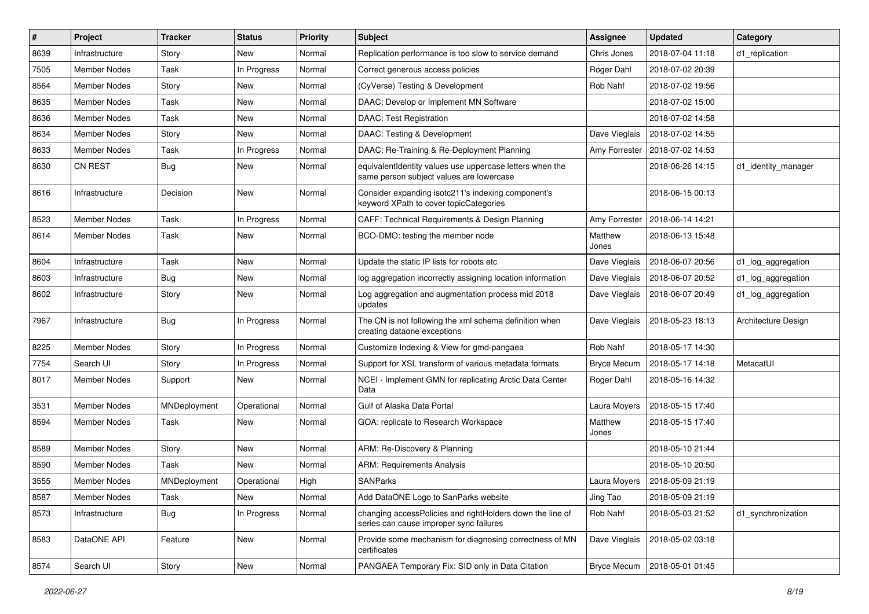| #    | Project             | <b>Tracker</b> | <b>Status</b> | <b>Priority</b> | Subject                                                                                              | <b>Assignee</b>    | <b>Updated</b>                   | Category            |
|------|---------------------|----------------|---------------|-----------------|------------------------------------------------------------------------------------------------------|--------------------|----------------------------------|---------------------|
| 8639 | Infrastructure      | Story          | New           | Normal          | Replication performance is too slow to service demand                                                | Chris Jones        | 2018-07-04 11:18                 | d1_replication      |
| 7505 | <b>Member Nodes</b> | Task           | In Progress   | Normal          | Correct generous access policies                                                                     | Roger Dahl         | 2018-07-02 20:39                 |                     |
| 8564 | Member Nodes        | Story          | New           | Normal          | (CyVerse) Testing & Development                                                                      | Rob Nahf           | 2018-07-02 19:56                 |                     |
| 8635 | Member Nodes        | Task           | New           | Normal          | DAAC: Develop or Implement MN Software                                                               |                    | 2018-07-02 15:00                 |                     |
| 8636 | Member Nodes        | Task           | New           | Normal          | DAAC: Test Registration                                                                              |                    | 2018-07-02 14:58                 |                     |
| 8634 | <b>Member Nodes</b> | Story          | New           | Normal          | DAAC: Testing & Development                                                                          | Dave Vieglais      | 2018-07-02 14:55                 |                     |
| 8633 | <b>Member Nodes</b> | Task           | In Progress   | Normal          | DAAC: Re-Training & Re-Deployment Planning                                                           |                    | Amy Forrester   2018-07-02 14:53 |                     |
| 8630 | <b>CN REST</b>      | Bug            | New           | Normal          | equivalentIdentity values use uppercase letters when the<br>same person subject values are lowercase |                    | 2018-06-26 14:15                 | d1 identity manager |
| 8616 | Infrastructure      | Decision       | New           | Normal          | Consider expanding isotc211's indexing component's<br>keyword XPath to cover topicCategories         |                    | 2018-06-15 00:13                 |                     |
| 8523 | <b>Member Nodes</b> | Task           | In Progress   | Normal          | CAFF: Technical Requirements & Design Planning                                                       |                    | Amy Forrester   2018-06-14 14:21 |                     |
| 8614 | <b>Member Nodes</b> | Task           | New           | Normal          | BCO-DMO: testing the member node                                                                     | Matthew<br>Jones   | 2018-06-13 15:48                 |                     |
| 8604 | Infrastructure      | Task           | New           | Normal          | Update the static IP lists for robots etc                                                            | Dave Vieglais      | 2018-06-07 20:56                 | d1_log_aggregation  |
| 8603 | Infrastructure      | Bug            | New           | Normal          | log aggregation incorrectly assigning location information                                           | Dave Vieglais      | 2018-06-07 20:52                 | d1_log_aggregation  |
| 8602 | Infrastructure      | Story          | New           | Normal          | Log aggregation and augmentation process mid 2018<br>updates                                         | Dave Vieglais      | 2018-06-07 20:49                 | d1_log_aggregation  |
| 7967 | Infrastructure      | Bug            | In Progress   | Normal          | The CN is not following the xml schema definition when<br>creating dataone exceptions                | Dave Vieglais      | 2018-05-23 18:13                 | Architecture Design |
| 8225 | <b>Member Nodes</b> | Story          | In Progress   | Normal          | Customize Indexing & View for gmd-pangaea                                                            | Rob Nahf           | 2018-05-17 14:30                 |                     |
| 7754 | Search UI           | Story          | In Progress   | Normal          | Support for XSL transform of various metadata formats                                                | <b>Bryce Mecum</b> | 2018-05-17 14:18                 | MetacatUI           |
| 8017 | Member Nodes        | Support        | New           | Normal          | NCEI - Implement GMN for replicating Arctic Data Center<br>Data                                      | Roger Dahl         | 2018-05-16 14:32                 |                     |
| 3531 | <b>Member Nodes</b> | MNDeployment   | Operational   | Normal          | Gulf of Alaska Data Portal                                                                           | Laura Moyers       | 2018-05-15 17:40                 |                     |
| 8594 | <b>Member Nodes</b> | Task           | New           | Normal          | GOA: replicate to Research Workspace                                                                 | Matthew<br>Jones   | 2018-05-15 17:40                 |                     |
| 8589 | <b>Member Nodes</b> | Story          | New           | Normal          | ARM: Re-Discovery & Planning                                                                         |                    | 2018-05-10 21:44                 |                     |
| 8590 | <b>Member Nodes</b> | Task           | New           | Normal          | <b>ARM: Requirements Analysis</b>                                                                    |                    | 2018-05-10 20:50                 |                     |
| 3555 | Member Nodes        | MNDeployment   | Operational   | High            | <b>SANParks</b>                                                                                      | Laura Moyers       | 2018-05-09 21:19                 |                     |
| 8587 | Member Nodes        | Task           | New           | Normal          | Add DataONE Logo to SanParks website                                                                 | Jing Tao           | 2018-05-09 21:19                 |                     |
| 8573 | Infrastructure      | <b>Bug</b>     | In Progress   | Normal          | changing accessPolicies and rightHolders down the line of<br>series can cause improper sync failures | Rob Nahf           | 2018-05-03 21:52                 | d1_synchronization  |
| 8583 | DataONE API         | Feature        | New           | Normal          | Provide some mechanism for diagnosing correctness of MN<br>certificates                              | Dave Vieglais      | 2018-05-02 03:18                 |                     |
| 8574 | Search UI           | Story          | New           | Normal          | PANGAEA Temporary Fix: SID only in Data Citation                                                     | <b>Bryce Mecum</b> | 2018-05-01 01:45                 |                     |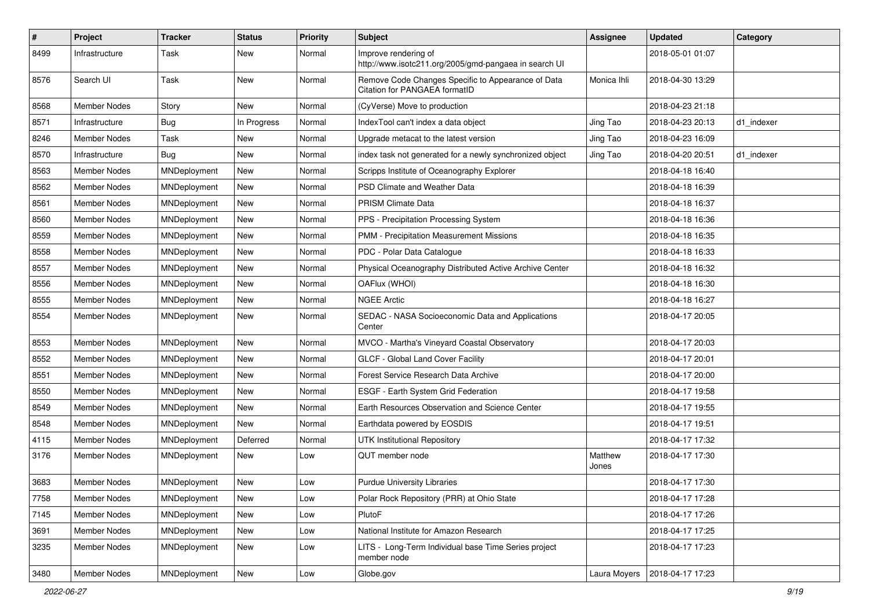| $\sharp$ | Project             | <b>Tracker</b> | <b>Status</b> | <b>Priority</b> | <b>Subject</b>                                                                      | <b>Assignee</b>  | <b>Updated</b>   | Category   |
|----------|---------------------|----------------|---------------|-----------------|-------------------------------------------------------------------------------------|------------------|------------------|------------|
| 8499     | Infrastructure      | Task           | New           | Normal          | Improve rendering of<br>http://www.isotc211.org/2005/gmd-pangaea in search UI       |                  | 2018-05-01 01:07 |            |
| 8576     | Search UI           | Task           | New           | Normal          | Remove Code Changes Specific to Appearance of Data<br>Citation for PANGAEA formatID | Monica Ihli      | 2018-04-30 13:29 |            |
| 8568     | <b>Member Nodes</b> | Story          | <b>New</b>    | Normal          | (CyVerse) Move to production                                                        |                  | 2018-04-23 21:18 |            |
| 8571     | Infrastructure      | Bug            | In Progress   | Normal          | IndexTool can't index a data object                                                 | Jing Tao         | 2018-04-23 20:13 | d1 indexer |
| 8246     | <b>Member Nodes</b> | Task           | New           | Normal          | Upgrade metacat to the latest version                                               | Jing Tao         | 2018-04-23 16:09 |            |
| 8570     | Infrastructure      | <b>Bug</b>     | New           | Normal          | index task not generated for a newly synchronized object                            | Jing Tao         | 2018-04-20 20:51 | d1 indexer |
| 8563     | Member Nodes        | MNDeployment   | New           | Normal          | Scripps Institute of Oceanography Explorer                                          |                  | 2018-04-18 16:40 |            |
| 8562     | <b>Member Nodes</b> | MNDeployment   | New           | Normal          | PSD Climate and Weather Data                                                        |                  | 2018-04-18 16:39 |            |
| 8561     | Member Nodes        | MNDeployment   | New           | Normal          | PRISM Climate Data                                                                  |                  | 2018-04-18 16:37 |            |
| 8560     | <b>Member Nodes</b> | MNDeployment   | New           | Normal          | PPS - Precipitation Processing System                                               |                  | 2018-04-18 16:36 |            |
| 8559     | <b>Member Nodes</b> | MNDeployment   | New           | Normal          | PMM - Precipitation Measurement Missions                                            |                  | 2018-04-18 16:35 |            |
| 8558     | Member Nodes        | MNDeployment   | New           | Normal          | PDC - Polar Data Catalogue                                                          |                  | 2018-04-18 16:33 |            |
| 8557     | <b>Member Nodes</b> | MNDeployment   | New           | Normal          | Physical Oceanography Distributed Active Archive Center                             |                  | 2018-04-18 16:32 |            |
| 8556     | Member Nodes        | MNDeployment   | New           | Normal          | OAFlux (WHOI)                                                                       |                  | 2018-04-18 16:30 |            |
| 8555     | Member Nodes        | MNDeployment   | New           | Normal          | <b>NGEE Arctic</b>                                                                  |                  | 2018-04-18 16:27 |            |
| 8554     | Member Nodes        | MNDeployment   | New           | Normal          | SEDAC - NASA Socioeconomic Data and Applications<br>Center                          |                  | 2018-04-17 20:05 |            |
| 8553     | <b>Member Nodes</b> | MNDeployment   | New           | Normal          | MVCO - Martha's Vineyard Coastal Observatory                                        |                  | 2018-04-17 20:03 |            |
| 8552     | Member Nodes        | MNDeployment   | New           | Normal          | GLCF - Global Land Cover Facility                                                   |                  | 2018-04-17 20:01 |            |
| 8551     | Member Nodes        | MNDeployment   | New           | Normal          | Forest Service Research Data Archive                                                |                  | 2018-04-17 20:00 |            |
| 8550     | <b>Member Nodes</b> | MNDeployment   | New           | Normal          | ESGF - Earth System Grid Federation                                                 |                  | 2018-04-17 19:58 |            |
| 8549     | Member Nodes        | MNDeployment   | New           | Normal          | Earth Resources Observation and Science Center                                      |                  | 2018-04-17 19:55 |            |
| 8548     | Member Nodes        | MNDeployment   | New           | Normal          | Earthdata powered by EOSDIS                                                         |                  | 2018-04-17 19:51 |            |
| 4115     | Member Nodes        | MNDeployment   | Deferred      | Normal          | <b>UTK Institutional Repository</b>                                                 |                  | 2018-04-17 17:32 |            |
| 3176     | Member Nodes        | MNDeployment   | New           | Low             | QUT member node                                                                     | Matthew<br>Jones | 2018-04-17 17:30 |            |
| 3683     | Member Nodes        | MNDeployment   | New           | Low             | <b>Purdue University Libraries</b>                                                  |                  | 2018-04-17 17:30 |            |
| 7758     | Member Nodes        | MNDeployment   | New           | Low             | Polar Rock Repository (PRR) at Ohio State                                           |                  | 2018-04-17 17:28 |            |
| 7145     | Member Nodes        | MNDeployment   | New           | Low             | PlutoF                                                                              |                  | 2018-04-17 17:26 |            |
| 3691     | Member Nodes        | MNDeployment   | New           | Low             | National Institute for Amazon Research                                              |                  | 2018-04-17 17:25 |            |
| 3235     | Member Nodes        | MNDeployment   | New           | Low             | LITS - Long-Term Individual base Time Series project<br>member node                 |                  | 2018-04-17 17:23 |            |
| 3480     | <b>Member Nodes</b> | MNDeployment   | New           | Low             | Globe.gov                                                                           | Laura Moyers     | 2018-04-17 17:23 |            |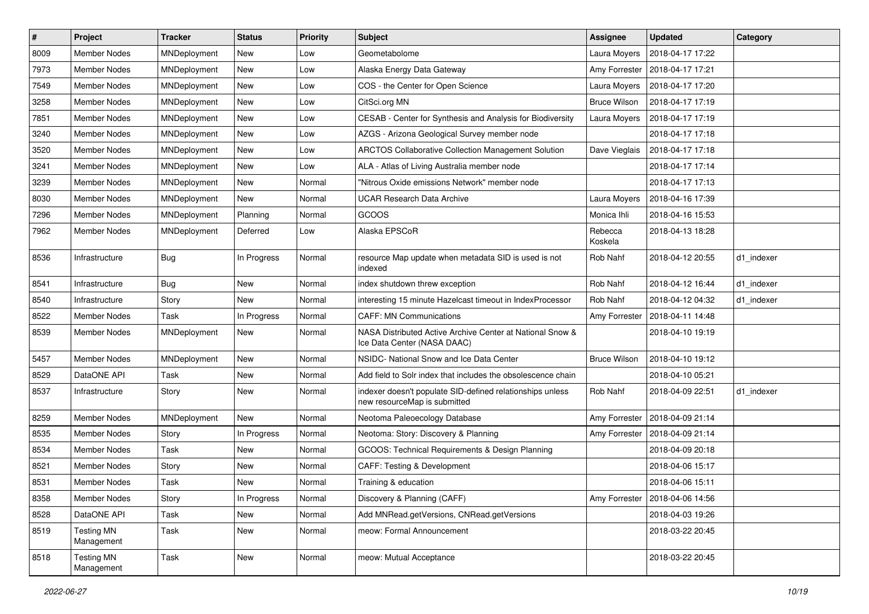| $\sharp$ | Project                         | <b>Tracker</b> | <b>Status</b> | <b>Priority</b> | Subject                                                                                   | Assignee            | <b>Updated</b>   | Category   |
|----------|---------------------------------|----------------|---------------|-----------------|-------------------------------------------------------------------------------------------|---------------------|------------------|------------|
| 8009     | <b>Member Nodes</b>             | MNDeployment   | New           | Low             | Geometabolome                                                                             | Laura Moyers        | 2018-04-17 17:22 |            |
| 7973     | <b>Member Nodes</b>             | MNDeployment   | New           | Low             | Alaska Energy Data Gateway                                                                | Amy Forrester       | 2018-04-17 17:21 |            |
| 7549     | Member Nodes                    | MNDeployment   | New           | Low             | COS - the Center for Open Science                                                         | Laura Moyers        | 2018-04-17 17:20 |            |
| 3258     | Member Nodes                    | MNDeployment   | New           | Low             | CitSci.org MN                                                                             | <b>Bruce Wilson</b> | 2018-04-17 17:19 |            |
| 7851     | <b>Member Nodes</b>             | MNDeployment   | New           | Low             | CESAB - Center for Synthesis and Analysis for Biodiversity                                | Laura Moyers        | 2018-04-17 17:19 |            |
| 3240     | Member Nodes                    | MNDeployment   | New           | Low             | AZGS - Arizona Geological Survey member node                                              |                     | 2018-04-17 17:18 |            |
| 3520     | <b>Member Nodes</b>             | MNDeployment   | New           | Low             | <b>ARCTOS Collaborative Collection Management Solution</b>                                | Dave Vieglais       | 2018-04-17 17:18 |            |
| 3241     | <b>Member Nodes</b>             | MNDeployment   | New           | Low             | ALA - Atlas of Living Australia member node                                               |                     | 2018-04-17 17:14 |            |
| 3239     | Member Nodes                    | MNDeployment   | New           | Normal          | "Nitrous Oxide emissions Network" member node                                             |                     | 2018-04-17 17:13 |            |
| 8030     | <b>Member Nodes</b>             | MNDeployment   | New           | Normal          | <b>UCAR Research Data Archive</b>                                                         | Laura Moyers        | 2018-04-16 17:39 |            |
| 7296     | Member Nodes                    | MNDeployment   | Planning      | Normal          | GCOOS                                                                                     | Monica Ihli         | 2018-04-16 15:53 |            |
| 7962     | <b>Member Nodes</b>             | MNDeployment   | Deferred      | Low             | Alaska EPSCoR                                                                             | Rebecca<br>Koskela  | 2018-04-13 18:28 |            |
| 8536     | Infrastructure                  | <b>Bug</b>     | In Progress   | Normal          | resource Map update when metadata SID is used is not<br>indexed                           | Rob Nahf            | 2018-04-12 20:55 | d1_indexer |
| 8541     | Infrastructure                  | <b>Bug</b>     | New           | Normal          | index shutdown threw exception                                                            | Rob Nahf            | 2018-04-12 16:44 | d1_indexer |
| 8540     | Infrastructure                  | Story          | New           | Normal          | interesting 15 minute Hazelcast timeout in IndexProcessor                                 | Rob Nahf            | 2018-04-12 04:32 | d1 indexer |
| 8522     | Member Nodes                    | Task           | In Progress   | Normal          | <b>CAFF: MN Communications</b>                                                            | Amy Forrester       | 2018-04-11 14:48 |            |
| 8539     | Member Nodes                    | MNDeployment   | New           | Normal          | NASA Distributed Active Archive Center at National Snow &<br>Ice Data Center (NASA DAAC)  |                     | 2018-04-10 19:19 |            |
| 5457     | <b>Member Nodes</b>             | MNDeployment   | New           | Normal          | NSIDC- National Snow and Ice Data Center                                                  | <b>Bruce Wilson</b> | 2018-04-10 19:12 |            |
| 8529     | DataONE API                     | Task           | New           | Normal          | Add field to Solr index that includes the obsolescence chain                              |                     | 2018-04-10 05:21 |            |
| 8537     | Infrastructure                  | Story          | New           | Normal          | indexer doesn't populate SID-defined relationships unless<br>new resourceMap is submitted | Rob Nahf            | 2018-04-09 22:51 | d1 indexer |
| 8259     | <b>Member Nodes</b>             | MNDeployment   | <b>New</b>    | Normal          | Neotoma Paleoecology Database                                                             | Amy Forrester       | 2018-04-09 21:14 |            |
| 8535     | <b>Member Nodes</b>             | Story          | In Progress   | Normal          | Neotoma: Story: Discovery & Planning                                                      | Amy Forrester       | 2018-04-09 21:14 |            |
| 8534     | Member Nodes                    | Task           | New           | Normal          | GCOOS: Technical Requirements & Design Planning                                           |                     | 2018-04-09 20:18 |            |
| 8521     | Member Nodes                    | Story          | New           | Normal          | CAFF: Testing & Development                                                               |                     | 2018-04-06 15:17 |            |
| 8531     | <b>Member Nodes</b>             | Task           | New           | Normal          | Training & education                                                                      |                     | 2018-04-06 15:11 |            |
| 8358     | Member Nodes                    | Story          | In Progress   | Normal          | Discovery & Planning (CAFF)                                                               | Amy Forrester       | 2018-04-06 14:56 |            |
| 8528     | DataONE API                     | Task           | New           | Normal          | Add MNRead.getVersions, CNRead.getVersions                                                |                     | 2018-04-03 19:26 |            |
| 8519     | <b>Testing MN</b><br>Management | Task           | New           | Normal          | meow: Formal Announcement                                                                 |                     | 2018-03-22 20:45 |            |
| 8518     | <b>Testing MN</b><br>Management | Task           | New           | Normal          | meow: Mutual Acceptance                                                                   |                     | 2018-03-22 20:45 |            |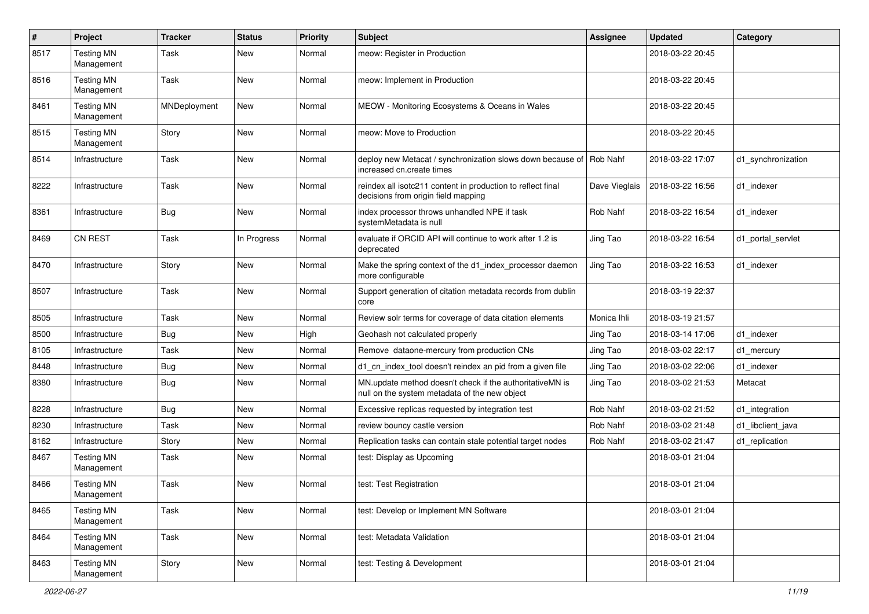| #    | Project                         | <b>Tracker</b> | <b>Status</b> | <b>Priority</b> | <b>Subject</b>                                                                                            | <b>Assignee</b> | <b>Updated</b>   | Category           |
|------|---------------------------------|----------------|---------------|-----------------|-----------------------------------------------------------------------------------------------------------|-----------------|------------------|--------------------|
| 8517 | <b>Testing MN</b><br>Management | Task           | New           | Normal          | meow: Register in Production                                                                              |                 | 2018-03-22 20:45 |                    |
| 8516 | <b>Testing MN</b><br>Management | Task           | New           | Normal          | meow: Implement in Production                                                                             |                 | 2018-03-22 20:45 |                    |
| 8461 | <b>Testing MN</b><br>Management | MNDeployment   | New           | Normal          | MEOW - Monitoring Ecosystems & Oceans in Wales                                                            |                 | 2018-03-22 20:45 |                    |
| 8515 | <b>Testing MN</b><br>Management | Story          | New           | Normal          | meow: Move to Production                                                                                  |                 | 2018-03-22 20:45 |                    |
| 8514 | Infrastructure                  | Task           | New           | Normal          | deploy new Metacat / synchronization slows down because of Rob Nahf<br>increased cn.create times          |                 | 2018-03-22 17:07 | d1 synchronization |
| 8222 | Infrastructure                  | Task           | New           | Normal          | reindex all isotc211 content in production to reflect final<br>decisions from origin field mapping        | Dave Vieglais   | 2018-03-22 16:56 | d1_indexer         |
| 8361 | Infrastructure                  | <b>Bug</b>     | New           | Normal          | index processor throws unhandled NPE if task<br>systemMetadata is null                                    | Rob Nahf        | 2018-03-22 16:54 | d1_indexer         |
| 8469 | CN REST                         | Task           | In Progress   | Normal          | evaluate if ORCID API will continue to work after 1.2 is<br>deprecated                                    | Jing Tao        | 2018-03-22 16:54 | d1 portal servlet  |
| 8470 | Infrastructure                  | Story          | New           | Normal          | Make the spring context of the d1_index_processor daemon<br>more configurable                             | Jing Tao        | 2018-03-22 16:53 | d1 indexer         |
| 8507 | Infrastructure                  | Task           | New           | Normal          | Support generation of citation metadata records from dublin<br>core                                       |                 | 2018-03-19 22:37 |                    |
| 8505 | Infrastructure                  | Task           | New           | Normal          | Review solr terms for coverage of data citation elements                                                  | Monica Ihli     | 2018-03-19 21:57 |                    |
| 8500 | Infrastructure                  | Bug            | New           | High            | Geohash not calculated properly                                                                           | Jing Tao        | 2018-03-14 17:06 | d1 indexer         |
| 8105 | Infrastructure                  | Task           | New           | Normal          | Remove dataone-mercury from production CNs                                                                | Jing Tao        | 2018-03-02 22:17 | d1 mercury         |
| 8448 | Infrastructure                  | <b>Bug</b>     | New           | Normal          | d1_cn_index_tool doesn't reindex an pid from a given file                                                 | Jing Tao        | 2018-03-02 22:06 | d1 indexer         |
| 8380 | Infrastructure                  | <b>Bug</b>     | New           | Normal          | MN.update method doesn't check if the authoritativeMN is<br>null on the system metadata of the new object | Jing Tao        | 2018-03-02 21:53 | Metacat            |
| 8228 | Infrastructure                  | Bug            | New           | Normal          | Excessive replicas requested by integration test                                                          | Rob Nahf        | 2018-03-02 21:52 | d1_integration     |
| 8230 | Infrastructure                  | Task           | New           | Normal          | review bouncy castle version                                                                              | Rob Nahf        | 2018-03-02 21:48 | d1 libclient java  |
| 8162 | Infrastructure                  | Story          | New           | Normal          | Replication tasks can contain stale potential target nodes                                                | Rob Nahf        | 2018-03-02 21:47 | d1_replication     |
| 8467 | <b>Testing MN</b><br>Management | Task           | New           | Normal          | test: Display as Upcoming                                                                                 |                 | 2018-03-01 21:04 |                    |
| 8466 | <b>Testing MN</b><br>Management | Task           | New           | Normal          | test: Test Registration                                                                                   |                 | 2018-03-01 21:04 |                    |
| 8465 | <b>Testing MN</b><br>Management | Task           | New           | Normal          | test: Develop or Implement MN Software                                                                    |                 | 2018-03-01 21:04 |                    |
| 8464 | <b>Testing MN</b><br>Management | Task           | New           | Normal          | test: Metadata Validation                                                                                 |                 | 2018-03-01 21:04 |                    |
| 8463 | <b>Testing MN</b><br>Management | Story          | New           | Normal          | test: Testing & Development                                                                               |                 | 2018-03-01 21:04 |                    |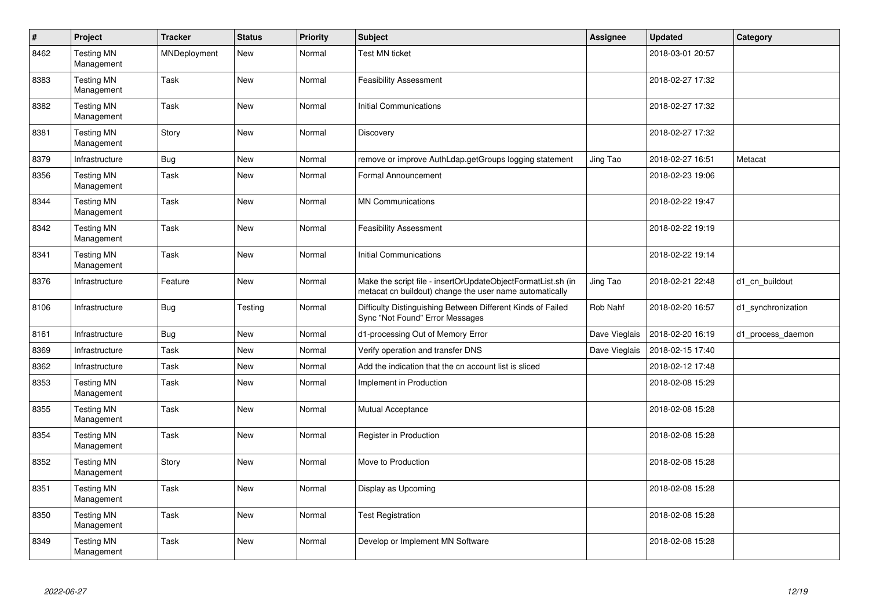| $\sharp$ | Project                         | <b>Tracker</b> | <b>Status</b> | Priority | <b>Subject</b>                                                                                                          | Assignee      | <b>Updated</b>   | Category           |
|----------|---------------------------------|----------------|---------------|----------|-------------------------------------------------------------------------------------------------------------------------|---------------|------------------|--------------------|
| 8462     | <b>Testing MN</b><br>Management | MNDeployment   | New           | Normal   | Test MN ticket                                                                                                          |               | 2018-03-01 20:57 |                    |
| 8383     | <b>Testing MN</b><br>Management | Task           | <b>New</b>    | Normal   | <b>Feasibility Assessment</b>                                                                                           |               | 2018-02-27 17:32 |                    |
| 8382     | <b>Testing MN</b><br>Management | Task           | New           | Normal   | Initial Communications                                                                                                  |               | 2018-02-27 17:32 |                    |
| 8381     | <b>Testing MN</b><br>Management | Story          | New           | Normal   | Discovery                                                                                                               |               | 2018-02-27 17:32 |                    |
| 8379     | Infrastructure                  | <b>Bug</b>     | New           | Normal   | remove or improve AuthLdap.getGroups logging statement                                                                  | Jing Tao      | 2018-02-27 16:51 | Metacat            |
| 8356     | <b>Testing MN</b><br>Management | Task           | New           | Normal   | Formal Announcement                                                                                                     |               | 2018-02-23 19:06 |                    |
| 8344     | <b>Testing MN</b><br>Management | Task           | New           | Normal   | <b>MN Communications</b>                                                                                                |               | 2018-02-22 19:47 |                    |
| 8342     | <b>Testing MN</b><br>Management | Task           | <b>New</b>    | Normal   | <b>Feasibility Assessment</b>                                                                                           |               | 2018-02-22 19:19 |                    |
| 8341     | <b>Testing MN</b><br>Management | Task           | New           | Normal   | Initial Communications                                                                                                  |               | 2018-02-22 19:14 |                    |
| 8376     | Infrastructure                  | Feature        | New           | Normal   | Make the script file - insertOrUpdateObjectFormatList.sh (in<br>metacat cn buildout) change the user name automatically | Jing Tao      | 2018-02-21 22:48 | d1 cn buildout     |
| 8106     | Infrastructure                  | <b>Bug</b>     | Testing       | Normal   | Difficulty Distinguishing Between Different Kinds of Failed<br>Sync "Not Found" Error Messages                          | Rob Nahf      | 2018-02-20 16:57 | d1_synchronization |
| 8161     | Infrastructure                  | <b>Bug</b>     | New           | Normal   | d1-processing Out of Memory Error                                                                                       | Dave Vieglais | 2018-02-20 16:19 | d1 process daemon  |
| 8369     | Infrastructure                  | Task           | New           | Normal   | Verify operation and transfer DNS                                                                                       | Dave Vieglais | 2018-02-15 17:40 |                    |
| 8362     | Infrastructure                  | Task           | New           | Normal   | Add the indication that the cn account list is sliced                                                                   |               | 2018-02-12 17:48 |                    |
| 8353     | <b>Testing MN</b><br>Management | Task           | New           | Normal   | Implement in Production                                                                                                 |               | 2018-02-08 15:29 |                    |
| 8355     | <b>Testing MN</b><br>Management | Task           | New           | Normal   | <b>Mutual Acceptance</b>                                                                                                |               | 2018-02-08 15:28 |                    |
| 8354     | <b>Testing MN</b><br>Management | Task           | New           | Normal   | Register in Production                                                                                                  |               | 2018-02-08 15:28 |                    |
| 8352     | <b>Testing MN</b><br>Management | Story          | New           | Normal   | Move to Production                                                                                                      |               | 2018-02-08 15:28 |                    |
| 8351     | <b>Testing MN</b><br>Management | Task           | New           | Normal   | Display as Upcoming                                                                                                     |               | 2018-02-08 15:28 |                    |
| 8350     | <b>Testing MN</b><br>Management | Task           | New           | Normal   | <b>Test Registration</b>                                                                                                |               | 2018-02-08 15:28 |                    |
| 8349     | <b>Testing MN</b><br>Management | Task           | New           | Normal   | Develop or Implement MN Software                                                                                        |               | 2018-02-08 15:28 |                    |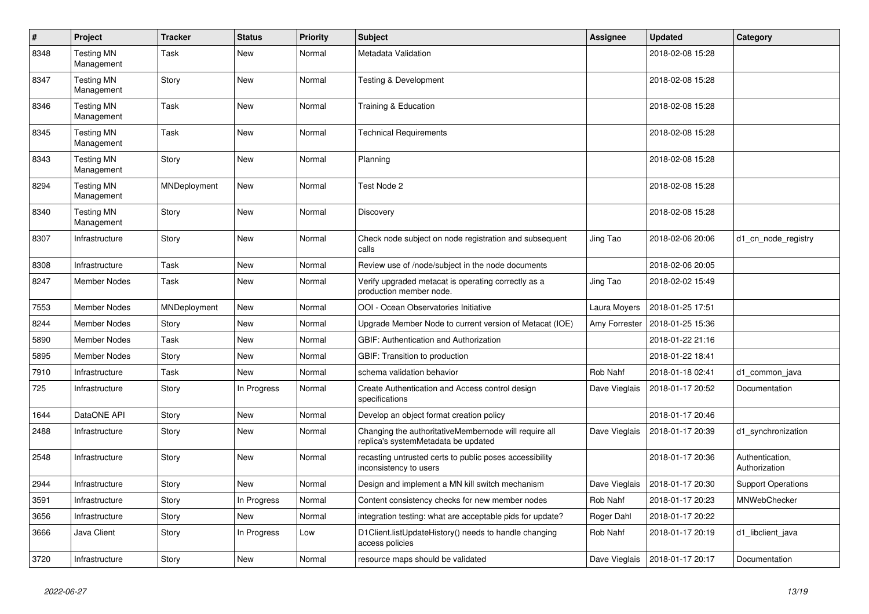| $\#$ | Project                         | <b>Tracker</b> | <b>Status</b> | <b>Priority</b> | <b>Subject</b>                                                                               | <b>Assignee</b> | <b>Updated</b>   | Category                         |
|------|---------------------------------|----------------|---------------|-----------------|----------------------------------------------------------------------------------------------|-----------------|------------------|----------------------------------|
| 8348 | <b>Testing MN</b><br>Management | Task           | <b>New</b>    | Normal          | Metadata Validation                                                                          |                 | 2018-02-08 15:28 |                                  |
| 8347 | <b>Testing MN</b><br>Management | Story          | New           | Normal          | Testing & Development                                                                        |                 | 2018-02-08 15:28 |                                  |
| 8346 | <b>Testing MN</b><br>Management | Task           | New           | Normal          | Training & Education                                                                         |                 | 2018-02-08 15:28 |                                  |
| 8345 | <b>Testing MN</b><br>Management | Task           | <b>New</b>    | Normal          | <b>Technical Requirements</b>                                                                |                 | 2018-02-08 15:28 |                                  |
| 8343 | <b>Testing MN</b><br>Management | Story          | <b>New</b>    | Normal          | Planning                                                                                     |                 | 2018-02-08 15:28 |                                  |
| 8294 | <b>Testing MN</b><br>Management | MNDeployment   | New           | Normal          | Test Node 2                                                                                  |                 | 2018-02-08 15:28 |                                  |
| 8340 | <b>Testing MN</b><br>Management | Story          | New           | Normal          | Discovery                                                                                    |                 | 2018-02-08 15:28 |                                  |
| 8307 | Infrastructure                  | Story          | New           | Normal          | Check node subject on node registration and subsequent<br>calls                              | Jing Tao        | 2018-02-06 20:06 | d1_cn_node_registry              |
| 8308 | Infrastructure                  | Task           | <b>New</b>    | Normal          | Review use of /node/subject in the node documents                                            |                 | 2018-02-06 20:05 |                                  |
| 8247 | Member Nodes                    | Task           | New           | Normal          | Verify upgraded metacat is operating correctly as a<br>production member node.               | Jing Tao        | 2018-02-02 15:49 |                                  |
| 7553 | <b>Member Nodes</b>             | MNDeployment   | New           | Normal          | OOI - Ocean Observatories Initiative                                                         | Laura Moyers    | 2018-01-25 17:51 |                                  |
| 8244 | Member Nodes                    | Story          | New           | Normal          | Upgrade Member Node to current version of Metacat (IOE)                                      | Amy Forrester   | 2018-01-25 15:36 |                                  |
| 5890 | <b>Member Nodes</b>             | Task           | New           | Normal          | GBIF: Authentication and Authorization                                                       |                 | 2018-01-22 21:16 |                                  |
| 5895 | <b>Member Nodes</b>             | Story          | New           | Normal          | GBIF: Transition to production                                                               |                 | 2018-01-22 18:41 |                                  |
| 7910 | Infrastructure                  | Task           | New           | Normal          | schema validation behavior                                                                   | Rob Nahf        | 2018-01-18 02:41 | d1 common java                   |
| 725  | Infrastructure                  | Story          | In Progress   | Normal          | Create Authentication and Access control design<br>specifications                            | Dave Vieglais   | 2018-01-17 20:52 | Documentation                    |
| 1644 | DataONE API                     | Story          | <b>New</b>    | Normal          | Develop an object format creation policy                                                     |                 | 2018-01-17 20:46 |                                  |
| 2488 | Infrastructure                  | Story          | <b>New</b>    | Normal          | Changing the authoritativeMembernode will require all<br>replica's systemMetadata be updated | Dave Vieglais   | 2018-01-17 20:39 | d1_synchronization               |
| 2548 | Infrastructure                  | Story          | <b>New</b>    | Normal          | recasting untrusted certs to public poses accessibility<br>inconsistency to users            |                 | 2018-01-17 20:36 | Authentication,<br>Authorization |
| 2944 | Infrastructure                  | Story          | <b>New</b>    | Normal          | Design and implement a MN kill switch mechanism                                              | Dave Vieglais   | 2018-01-17 20:30 | <b>Support Operations</b>        |
| 3591 | Infrastructure                  | Story          | In Progress   | Normal          | Content consistency checks for new member nodes                                              | Rob Nahf        | 2018-01-17 20:23 | <b>MNWebChecker</b>              |
| 3656 | Infrastructure                  | Story          | New           | Normal          | integration testing: what are acceptable pids for update?                                    | Roger Dahl      | 2018-01-17 20:22 |                                  |
| 3666 | Java Client                     | Story          | In Progress   | Low             | D1Client.listUpdateHistory() needs to handle changing<br>access policies                     | Rob Nahf        | 2018-01-17 20:19 | d1 libclient java                |
| 3720 | Infrastructure                  | Story          | New           | Normal          | resource maps should be validated                                                            | Dave Vieglais   | 2018-01-17 20:17 | Documentation                    |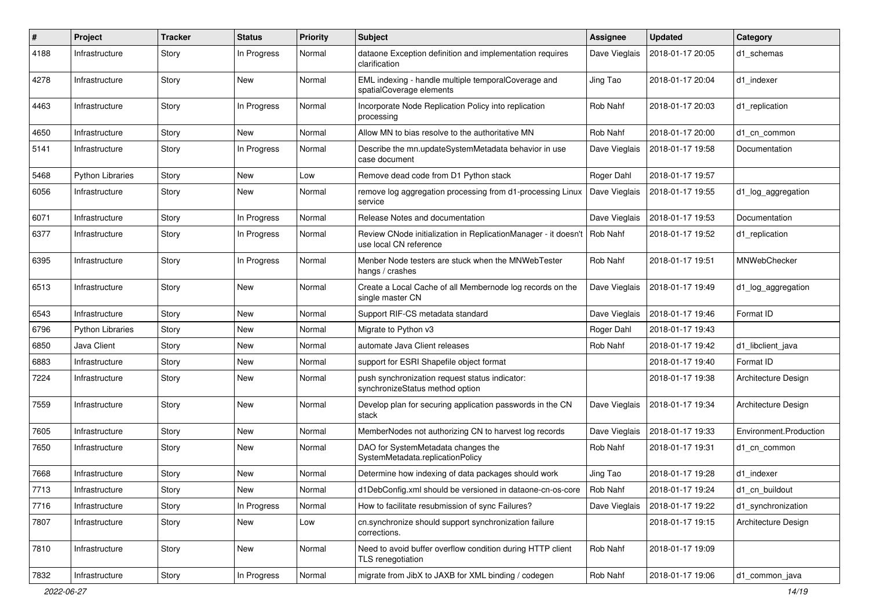| #    | Project                 | <b>Tracker</b> | <b>Status</b> | <b>Priority</b> | Subject                                                                                  | <b>Assignee</b> | <b>Updated</b>   | Category               |
|------|-------------------------|----------------|---------------|-----------------|------------------------------------------------------------------------------------------|-----------------|------------------|------------------------|
| 4188 | Infrastructure          | Story          | In Progress   | Normal          | dataone Exception definition and implementation requires<br>clarification                | Dave Vieglais   | 2018-01-17 20:05 | d1 schemas             |
| 4278 | Infrastructure          | Story          | New           | Normal          | EML indexing - handle multiple temporalCoverage and<br>spatialCoverage elements          | Jing Tao        | 2018-01-17 20:04 | d1 indexer             |
| 4463 | Infrastructure          | Story          | In Progress   | Normal          | Incorporate Node Replication Policy into replication<br>processing                       | Rob Nahf        | 2018-01-17 20:03 | d1 replication         |
| 4650 | Infrastructure          | Story          | New           | Normal          | Allow MN to bias resolve to the authoritative MN                                         | Rob Nahf        | 2018-01-17 20:00 | d1_cn_common           |
| 5141 | Infrastructure          | Story          | In Progress   | Normal          | Describe the mn.updateSystemMetadata behavior in use<br>case document                    | Dave Vieglais   | 2018-01-17 19:58 | Documentation          |
| 5468 | <b>Python Libraries</b> | Story          | New           | Low             | Remove dead code from D1 Python stack                                                    | Roger Dahl      | 2018-01-17 19:57 |                        |
| 6056 | Infrastructure          | Story          | New           | Normal          | remove log aggregation processing from d1-processing Linux<br>service                    | Dave Vieglais   | 2018-01-17 19:55 | d1_log_aggregation     |
| 6071 | Infrastructure          | Story          | In Progress   | Normal          | Release Notes and documentation                                                          | Dave Vieglais   | 2018-01-17 19:53 | Documentation          |
| 6377 | Infrastructure          | Story          | In Progress   | Normal          | Review CNode initialization in ReplicationManager - it doesn't<br>use local CN reference | Rob Nahf        | 2018-01-17 19:52 | d1 replication         |
| 6395 | Infrastructure          | Story          | In Progress   | Normal          | Menber Node testers are stuck when the MNWebTester<br>hangs / crashes                    | Rob Nahf        | 2018-01-17 19:51 | MNWebChecker           |
| 6513 | Infrastructure          | Story          | New           | Normal          | Create a Local Cache of all Membernode log records on the<br>single master CN            | Dave Vieglais   | 2018-01-17 19:49 | d1 log aggregation     |
| 6543 | Infrastructure          | Story          | New           | Normal          | Support RIF-CS metadata standard                                                         | Dave Vieglais   | 2018-01-17 19:46 | Format ID              |
| 6796 | Python Libraries        | Story          | New           | Normal          | Migrate to Python v3                                                                     | Roger Dahl      | 2018-01-17 19:43 |                        |
| 6850 | Java Client             | Story          | New           | Normal          | automate Java Client releases                                                            | Rob Nahf        | 2018-01-17 19:42 | d1_libclient_java      |
| 6883 | Infrastructure          | Story          | New           | Normal          | support for ESRI Shapefile object format                                                 |                 | 2018-01-17 19:40 | Format ID              |
| 7224 | Infrastructure          | Story          | New           | Normal          | push synchronization request status indicator:<br>synchronizeStatus method option        |                 | 2018-01-17 19:38 | Architecture Design    |
| 7559 | Infrastructure          | Story          | New           | Normal          | Develop plan for securing application passwords in the CN<br>stack                       | Dave Vieglais   | 2018-01-17 19:34 | Architecture Design    |
| 7605 | Infrastructure          | Story          | New           | Normal          | MemberNodes not authorizing CN to harvest log records                                    | Dave Vieglais   | 2018-01-17 19:33 | Environment.Production |
| 7650 | Infrastructure          | Story          | New           | Normal          | DAO for SystemMetadata changes the<br>SystemMetadata.replicationPolicy                   | Rob Nahf        | 2018-01-17 19:31 | d1 cn common           |
| 7668 | Infrastructure          | Story          | New           | Normal          | Determine how indexing of data packages should work                                      | Jing Tao        | 2018-01-17 19:28 | d1 indexer             |
| 7713 | Infrastructure          | Story          | New           | Normal          | d1DebConfig.xml should be versioned in dataone-cn-os-core                                | Rob Nahf        | 2018-01-17 19:24 | d1_cn_buildout         |
| 7716 | Infrastructure          | Story          | In Progress   | Normal          | How to facilitate resubmission of sync Failures?                                         | Dave Vieglais   | 2018-01-17 19:22 | d1 synchronization     |
| 7807 | Infrastructure          | Story          | New           | Low             | cn.synchronize should support synchronization failure<br>corrections.                    |                 | 2018-01-17 19:15 | Architecture Design    |
| 7810 | Infrastructure          | Story          | New           | Normal          | Need to avoid buffer overflow condition during HTTP client<br>TLS renegotiation          | Rob Nahf        | 2018-01-17 19:09 |                        |
| 7832 | Infrastructure          | Story          | In Progress   | Normal          | migrate from JibX to JAXB for XML binding / codegen                                      | Rob Nahf        | 2018-01-17 19:06 | d1_common_java         |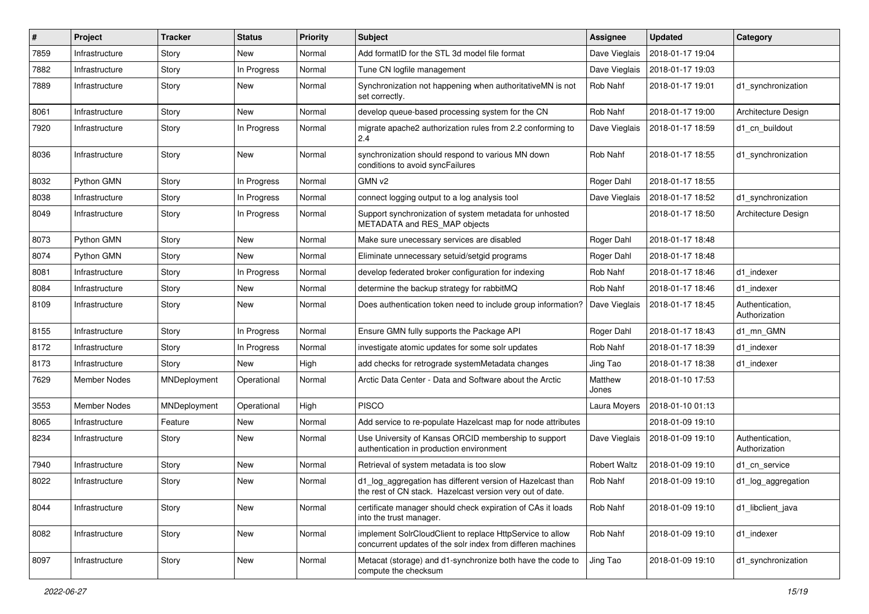| #    | Project        | <b>Tracker</b> | <b>Status</b> | <b>Priority</b> | Subject                                                                                                                  | <b>Assignee</b>     | <b>Updated</b>   | Category                         |
|------|----------------|----------------|---------------|-----------------|--------------------------------------------------------------------------------------------------------------------------|---------------------|------------------|----------------------------------|
| 7859 | Infrastructure | Story          | New           | Normal          | Add formatID for the STL 3d model file format                                                                            | Dave Vieglais       | 2018-01-17 19:04 |                                  |
| 7882 | Infrastructure | Story          | In Progress   | Normal          | Tune CN logfile management                                                                                               | Dave Vieglais       | 2018-01-17 19:03 |                                  |
| 7889 | Infrastructure | Story          | New           | Normal          | Synchronization not happening when authoritativeMN is not<br>set correctly.                                              | Rob Nahf            | 2018-01-17 19:01 | d1_synchronization               |
| 8061 | Infrastructure | Story          | New           | Normal          | develop queue-based processing system for the CN                                                                         | Rob Nahf            | 2018-01-17 19:00 | Architecture Design              |
| 7920 | Infrastructure | Story          | In Progress   | Normal          | migrate apache2 authorization rules from 2.2 conforming to<br>2.4                                                        | Dave Vieglais       | 2018-01-17 18:59 | d1_cn_buildout                   |
| 8036 | Infrastructure | Story          | New           | Normal          | synchronization should respond to various MN down<br>conditions to avoid syncFailures                                    | Rob Nahf            | 2018-01-17 18:55 | d1 synchronization               |
| 8032 | Python GMN     | Story          | In Progress   | Normal          | GMN v2                                                                                                                   | Roger Dahl          | 2018-01-17 18:55 |                                  |
| 8038 | Infrastructure | Story          | In Progress   | Normal          | connect logging output to a log analysis tool                                                                            | Dave Vieglais       | 2018-01-17 18:52 | d1_synchronization               |
| 8049 | Infrastructure | Story          | In Progress   | Normal          | Support synchronization of system metadata for unhosted<br>METADATA and RES_MAP objects                                  |                     | 2018-01-17 18:50 | Architecture Design              |
| 8073 | Python GMN     | Story          | New           | Normal          | Make sure unecessary services are disabled                                                                               | Roger Dahl          | 2018-01-17 18:48 |                                  |
| 8074 | Python GMN     | Story          | New           | Normal          | Eliminate unnecessary setuid/setgid programs                                                                             | Roger Dahl          | 2018-01-17 18:48 |                                  |
| 8081 | Infrastructure | Story          | In Progress   | Normal          | develop federated broker configuration for indexing                                                                      | Rob Nahf            | 2018-01-17 18:46 | d1 indexer                       |
| 8084 | Infrastructure | Story          | New           | Normal          | determine the backup strategy for rabbitMQ                                                                               | Rob Nahf            | 2018-01-17 18:46 | d1 indexer                       |
| 8109 | Infrastructure | Story          | New           | Normal          | Does authentication token need to include group information?                                                             | Dave Vieglais       | 2018-01-17 18:45 | Authentication,<br>Authorization |
| 8155 | Infrastructure | Story          | In Progress   | Normal          | Ensure GMN fully supports the Package API                                                                                | Roger Dahl          | 2018-01-17 18:43 | d1 mn GMN                        |
| 8172 | Infrastructure | Story          | In Progress   | Normal          | investigate atomic updates for some solr updates                                                                         | Rob Nahf            | 2018-01-17 18:39 | d1 indexer                       |
| 8173 | Infrastructure | Story          | New           | High            | add checks for retrograde systemMetadata changes                                                                         | Jing Tao            | 2018-01-17 18:38 | d1 indexer                       |
| 7629 | Member Nodes   | MNDeployment   | Operational   | Normal          | Arctic Data Center - Data and Software about the Arctic                                                                  | Matthew<br>Jones    | 2018-01-10 17:53 |                                  |
| 3553 | Member Nodes   | MNDeployment   | Operational   | High            | <b>PISCO</b>                                                                                                             | Laura Moyers        | 2018-01-10 01:13 |                                  |
| 8065 | Infrastructure | Feature        | New           | Normal          | Add service to re-populate Hazelcast map for node attributes                                                             |                     | 2018-01-09 19:10 |                                  |
| 8234 | Infrastructure | Story          | New           | Normal          | Use University of Kansas ORCID membership to support<br>authentication in production environment                         | Dave Vieglais       | 2018-01-09 19:10 | Authentication,<br>Authorization |
| 7940 | Infrastructure | Story          | <b>New</b>    | Normal          | Retrieval of system metadata is too slow                                                                                 | <b>Robert Waltz</b> | 2018-01-09 19:10 | d1 cn service                    |
| 8022 | Infrastructure | Story          | New           | Normal          | d1_log_aggregation has different version of Hazelcast than<br>the rest of CN stack. Hazelcast version very out of date.  | Rob Nahf            | 2018-01-09 19:10 | d1_log_aggregation               |
| 8044 | Infrastructure | Story          | New           | Normal          | certificate manager should check expiration of CAs it loads<br>into the trust manager.                                   | Rob Nahf            | 2018-01-09 19:10 | d1 libclient java                |
| 8082 | Infrastructure | Story          | New           | Normal          | implement SolrCloudClient to replace HttpService to allow<br>concurrent updates of the solr index from differen machines | Rob Nahf            | 2018-01-09 19:10 | d1 indexer                       |
| 8097 | Infrastructure | Story          | New           | Normal          | Metacat (storage) and d1-synchronize both have the code to<br>compute the checksum                                       | Jing Tao            | 2018-01-09 19:10 | d1_synchronization               |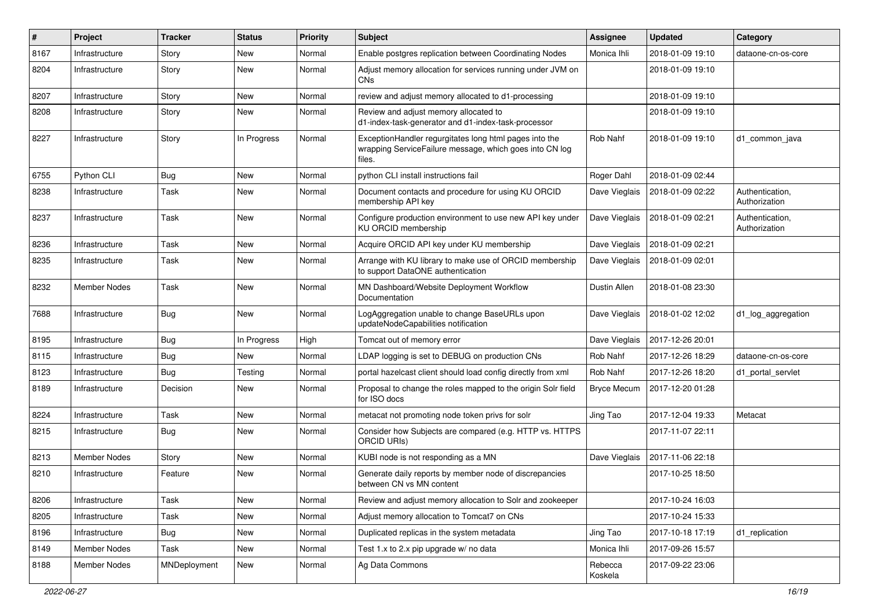| #    | Project        | <b>Tracker</b> | <b>Status</b> | <b>Priority</b> | <b>Subject</b>                                                                                                              | Assignee           | <b>Updated</b>   | Category                         |
|------|----------------|----------------|---------------|-----------------|-----------------------------------------------------------------------------------------------------------------------------|--------------------|------------------|----------------------------------|
| 8167 | Infrastructure | Story          | New           | Normal          | Enable postgres replication between Coordinating Nodes                                                                      | Monica Ihli        | 2018-01-09 19:10 | dataone-cn-os-core               |
| 8204 | Infrastructure | Story          | New           | Normal          | Adjust memory allocation for services running under JVM on<br>CN <sub>s</sub>                                               |                    | 2018-01-09 19:10 |                                  |
| 8207 | Infrastructure | Story          | New           | Normal          | review and adjust memory allocated to d1-processing                                                                         |                    | 2018-01-09 19:10 |                                  |
| 8208 | Infrastructure | Story          | New           | Normal          | Review and adjust memory allocated to<br>d1-index-task-generator and d1-index-task-processor                                |                    | 2018-01-09 19:10 |                                  |
| 8227 | Infrastructure | Story          | In Progress   | Normal          | ExceptionHandler regurgitates long html pages into the<br>wrapping ServiceFailure message, which goes into CN log<br>files. | Rob Nahf           | 2018-01-09 19:10 | d1 common java                   |
| 6755 | Python CLI     | <b>Bug</b>     | New           | Normal          | python CLI install instructions fail                                                                                        | Roger Dahl         | 2018-01-09 02:44 |                                  |
| 8238 | Infrastructure | Task           | New           | Normal          | Document contacts and procedure for using KU ORCID<br>membership API key                                                    | Dave Vieglais      | 2018-01-09 02:22 | Authentication,<br>Authorization |
| 8237 | Infrastructure | Task           | New           | Normal          | Configure production environment to use new API key under<br>KU ORCID membership                                            | Dave Vieglais      | 2018-01-09 02:21 | Authentication,<br>Authorization |
| 8236 | Infrastructure | Task           | <b>New</b>    | Normal          | Acquire ORCID API key under KU membership                                                                                   | Dave Vieglais      | 2018-01-09 02:21 |                                  |
| 8235 | Infrastructure | Task           | New           | Normal          | Arrange with KU library to make use of ORCID membership<br>to support DataONE authentication                                | Dave Vieglais      | 2018-01-09 02:01 |                                  |
| 8232 | Member Nodes   | Task           | New           | Normal          | MN Dashboard/Website Deployment Workflow<br>Documentation                                                                   | Dustin Allen       | 2018-01-08 23:30 |                                  |
| 7688 | Infrastructure | <b>Bug</b>     | New           | Normal          | LogAggregation unable to change BaseURLs upon<br>updateNodeCapabilities notification                                        | Dave Vieglais      | 2018-01-02 12:02 | d1_log_aggregation               |
| 8195 | Infrastructure | Bug            | In Progress   | High            | Tomcat out of memory error                                                                                                  | Dave Vieglais      | 2017-12-26 20:01 |                                  |
| 8115 | Infrastructure | <b>Bug</b>     | New           | Normal          | LDAP logging is set to DEBUG on production CNs                                                                              | Rob Nahf           | 2017-12-26 18:29 | dataone-cn-os-core               |
| 8123 | Infrastructure | <b>Bug</b>     | Testing       | Normal          | portal hazelcast client should load config directly from xml                                                                | Rob Nahf           | 2017-12-26 18:20 | d1_portal_servlet                |
| 8189 | Infrastructure | Decision       | New           | Normal          | Proposal to change the roles mapped to the origin Solr field<br>for ISO docs                                                | <b>Bryce Mecum</b> | 2017-12-20 01:28 |                                  |
| 8224 | Infrastructure | Task           | New           | Normal          | metacat not promoting node token privs for solr                                                                             | Jing Tao           | 2017-12-04 19:33 | Metacat                          |
| 8215 | Infrastructure | <b>Bug</b>     | New           | Normal          | Consider how Subjects are compared (e.g. HTTP vs. HTTPS<br><b>ORCID URIS)</b>                                               |                    | 2017-11-07 22:11 |                                  |
| 8213 | Member Nodes   | Story          | New           | Normal          | KUBI node is not responding as a MN                                                                                         | Dave Vieglais      | 2017-11-06 22:18 |                                  |
| 8210 | Infrastructure | Feature        | New           | Normal          | Generate daily reports by member node of discrepancies<br>between CN vs MN content                                          |                    | 2017-10-25 18:50 |                                  |
| 8206 | Infrastructure | Task           | New           | Normal          | Review and adjust memory allocation to Solr and zookeeper                                                                   |                    | 2017-10-24 16:03 |                                  |
| 8205 | Infrastructure | Task           | New           | Normal          | Adjust memory allocation to Tomcat7 on CNs                                                                                  |                    | 2017-10-24 15:33 |                                  |
| 8196 | Infrastructure | <b>Bug</b>     | New           | Normal          | Duplicated replicas in the system metadata                                                                                  | Jing Tao           | 2017-10-18 17:19 | d1 replication                   |
| 8149 | Member Nodes   | Task           | New           | Normal          | Test 1.x to 2.x pip upgrade w/ no data                                                                                      | Monica Ihli        | 2017-09-26 15:57 |                                  |
| 8188 | Member Nodes   | MNDeployment   | New           | Normal          | Ag Data Commons                                                                                                             | Rebecca<br>Koskela | 2017-09-22 23:06 |                                  |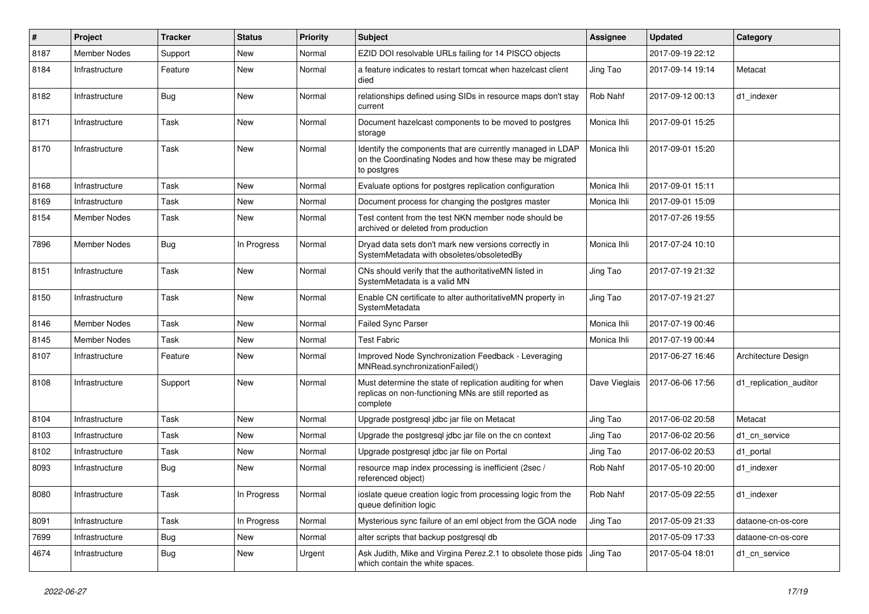| #    | Project             | <b>Tracker</b> | <b>Status</b> | <b>Priority</b> | Subject                                                                                                                              | Assignee      | <b>Updated</b>   | Category               |
|------|---------------------|----------------|---------------|-----------------|--------------------------------------------------------------------------------------------------------------------------------------|---------------|------------------|------------------------|
| 8187 | <b>Member Nodes</b> | Support        | New           | Normal          | EZID DOI resolvable URLs failing for 14 PISCO objects                                                                                |               | 2017-09-19 22:12 |                        |
| 8184 | Infrastructure      | Feature        | New           | Normal          | a feature indicates to restart tomcat when hazelcast client<br>died                                                                  | Jing Tao      | 2017-09-14 19:14 | Metacat                |
| 8182 | Infrastructure      | <b>Bug</b>     | New           | Normal          | relationships defined using SIDs in resource maps don't stay<br>current                                                              | Rob Nahf      | 2017-09-12 00:13 | d1 indexer             |
| 8171 | Infrastructure      | Task           | New           | Normal          | Document hazelcast components to be moved to postgres<br>storage                                                                     | Monica Ihli   | 2017-09-01 15:25 |                        |
| 8170 | Infrastructure      | Task           | New           | Normal          | Identify the components that are currently managed in LDAP<br>on the Coordinating Nodes and how these may be migrated<br>to postgres | Monica Ihli   | 2017-09-01 15:20 |                        |
| 8168 | Infrastructure      | Task           | New           | Normal          | Evaluate options for postgres replication configuration                                                                              | Monica Ihli   | 2017-09-01 15:11 |                        |
| 8169 | Infrastructure      | Task           | New           | Normal          | Document process for changing the postgres master                                                                                    | Monica Ihli   | 2017-09-01 15:09 |                        |
| 8154 | Member Nodes        | Task           | New           | Normal          | Test content from the test NKN member node should be<br>archived or deleted from production                                          |               | 2017-07-26 19:55 |                        |
| 7896 | Member Nodes        | <b>Bug</b>     | In Progress   | Normal          | Dryad data sets don't mark new versions correctly in<br>SystemMetadata with obsoletes/obsoletedBy                                    | Monica Ihli   | 2017-07-24 10:10 |                        |
| 8151 | Infrastructure      | Task           | New           | Normal          | CNs should verify that the authoritativeMN listed in<br>SystemMetadata is a valid MN                                                 | Jing Tao      | 2017-07-19 21:32 |                        |
| 8150 | Infrastructure      | Task           | New           | Normal          | Enable CN certificate to alter authoritativeMN property in<br>SystemMetadata                                                         | Jing Tao      | 2017-07-19 21:27 |                        |
| 8146 | <b>Member Nodes</b> | Task           | <b>New</b>    | Normal          | <b>Failed Sync Parser</b>                                                                                                            | Monica Ihli   | 2017-07-19 00:46 |                        |
| 8145 | Member Nodes        | Task           | New           | Normal          | <b>Test Fabric</b>                                                                                                                   | Monica Ihli   | 2017-07-19 00:44 |                        |
| 8107 | Infrastructure      | Feature        | New           | Normal          | Improved Node Synchronization Feedback - Leveraging<br>MNRead.synchronizationFailed()                                                |               | 2017-06-27 16:46 | Architecture Design    |
| 8108 | Infrastructure      | Support        | New           | Normal          | Must determine the state of replication auditing for when<br>replicas on non-functioning MNs are still reported as<br>complete       | Dave Vieglais | 2017-06-06 17:56 | d1 replication auditor |
| 8104 | Infrastructure      | Task           | New           | Normal          | Upgrade postgresql jdbc jar file on Metacat                                                                                          | Jing Tao      | 2017-06-02 20:58 | Metacat                |
| 8103 | Infrastructure      | Task           | New           | Normal          | Upgrade the postgresql jdbc jar file on the cn context                                                                               | Jing Tao      | 2017-06-02 20:56 | d1 cn service          |
| 8102 | Infrastructure      | Task           | New           | Normal          | Upgrade postgresgl jdbc jar file on Portal                                                                                           | Jing Tao      | 2017-06-02 20:53 | d1_portal              |
| 8093 | Infrastructure      | <b>Bug</b>     | New           | Normal          | resource map index processing is inefficient (2sec /<br>referenced object)                                                           | Rob Nahf      | 2017-05-10 20:00 | d1 indexer             |
| 8080 | Infrastructure      | Task           | In Progress   | Normal          | ioslate queue creation logic from processing logic from the<br>queue definition logic                                                | Rob Nahf      | 2017-05-09 22:55 | d1_indexer             |
| 8091 | Infrastructure      | Task           | In Progress   | Normal          | Mysterious sync failure of an eml object from the GOA node                                                                           | Jing Tao      | 2017-05-09 21:33 | dataone-cn-os-core     |
| 7699 | Infrastructure      | Bug            | New           | Normal          | alter scripts that backup postgresql db                                                                                              |               | 2017-05-09 17:33 | dataone-cn-os-core     |
| 4674 | Infrastructure      | <b>Bug</b>     | New           | Urgent          | Ask Judith, Mike and Virgina Perez.2.1 to obsolete those pids Jing Tao<br>which contain the white spaces.                            |               | 2017-05-04 18:01 | d1_cn_service          |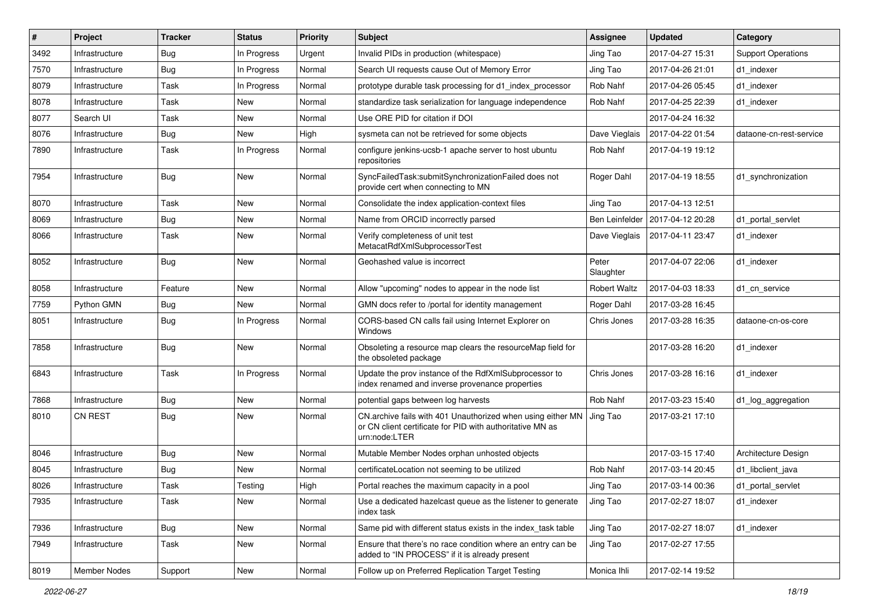| $\sharp$ | Project        | <b>Tracker</b> | <b>Status</b> | <b>Priority</b> | <b>Subject</b>                                                                                                                            | Assignee            | <b>Updated</b>   | Category                  |
|----------|----------------|----------------|---------------|-----------------|-------------------------------------------------------------------------------------------------------------------------------------------|---------------------|------------------|---------------------------|
| 3492     | Infrastructure | <b>Bug</b>     | In Progress   | Urgent          | Invalid PIDs in production (whitespace)                                                                                                   | Jing Tao            | 2017-04-27 15:31 | <b>Support Operations</b> |
| 7570     | Infrastructure | Bug            | In Progress   | Normal          | Search UI requests cause Out of Memory Error                                                                                              | Jing Tao            | 2017-04-26 21:01 | d1 indexer                |
| 8079     | Infrastructure | Task           | In Progress   | Normal          | prototype durable task processing for d1 index processor                                                                                  | Rob Nahf            | 2017-04-26 05:45 | d1 indexer                |
| 8078     | Infrastructure | Task           | New           | Normal          | standardize task serialization for language independence                                                                                  | Rob Nahf            | 2017-04-25 22:39 | d1 indexer                |
| 8077     | Search UI      | Task           | New           | Normal          | Use ORE PID for citation if DOI                                                                                                           |                     | 2017-04-24 16:32 |                           |
| 8076     | Infrastructure | Bug            | New           | High            | sysmeta can not be retrieved for some objects                                                                                             | Dave Vieglais       | 2017-04-22 01:54 | dataone-cn-rest-service   |
| 7890     | Infrastructure | Task           | In Progress   | Normal          | configure jenkins-ucsb-1 apache server to host ubuntu<br>repositories                                                                     | Rob Nahf            | 2017-04-19 19:12 |                           |
| 7954     | Infrastructure | <b>Bug</b>     | New           | Normal          | SyncFailedTask:submitSynchronizationFailed does not<br>provide cert when connecting to MN                                                 | Roger Dahl          | 2017-04-19 18:55 | d1_synchronization        |
| 8070     | Infrastructure | Task           | New           | Normal          | Consolidate the index application-context files                                                                                           | Jing Tao            | 2017-04-13 12:51 |                           |
| 8069     | Infrastructure | Bug            | New           | Normal          | Name from ORCID incorrectly parsed                                                                                                        | Ben Leinfelder      | 2017-04-12 20:28 | d1 portal servlet         |
| 8066     | Infrastructure | Task           | New           | Normal          | Verify completeness of unit test<br>MetacatRdfXmlSubprocessorTest                                                                         | Dave Vieglais       | 2017-04-11 23:47 | d1 indexer                |
| 8052     | Infrastructure | <b>Bug</b>     | New           | Normal          | Geohashed value is incorrect                                                                                                              | Peter<br>Slaughter  | 2017-04-07 22:06 | d1 indexer                |
| 8058     | Infrastructure | Feature        | New           | Normal          | Allow "upcoming" nodes to appear in the node list                                                                                         | <b>Robert Waltz</b> | 2017-04-03 18:33 | d1 cn service             |
| 7759     | Python GMN     | <b>Bug</b>     | <b>New</b>    | Normal          | GMN docs refer to /portal for identity management                                                                                         | Roger Dahl          | 2017-03-28 16:45 |                           |
| 8051     | Infrastructure | Bug            | In Progress   | Normal          | CORS-based CN calls fail using Internet Explorer on<br>Windows                                                                            | Chris Jones         | 2017-03-28 16:35 | dataone-cn-os-core        |
| 7858     | Infrastructure | Bug            | New           | Normal          | Obsoleting a resource map clears the resourceMap field for<br>the obsoleted package                                                       |                     | 2017-03-28 16:20 | d1 indexer                |
| 6843     | Infrastructure | Task           | In Progress   | Normal          | Update the prov instance of the RdfXmlSubprocessor to<br>index renamed and inverse provenance properties                                  | Chris Jones         | 2017-03-28 16:16 | d1 indexer                |
| 7868     | Infrastructure | Bug            | <b>New</b>    | Normal          | potential gaps between log harvests                                                                                                       | Rob Nahf            | 2017-03-23 15:40 | d1_log_aggregation        |
| 8010     | <b>CN REST</b> | <b>Bug</b>     | New           | Normal          | CN.archive fails with 401 Unauthorized when using either MN<br>or CN client certificate for PID with authoritative MN as<br>urn:node:LTER | Jing Tao            | 2017-03-21 17:10 |                           |
| 8046     | Infrastructure | <b>Bug</b>     | <b>New</b>    | Normal          | Mutable Member Nodes orphan unhosted objects                                                                                              |                     | 2017-03-15 17:40 | Architecture Design       |
| 8045     | Infrastructure | <b>Bug</b>     | New           | Normal          | certificateLocation not seeming to be utilized                                                                                            | Rob Nahf            | 2017-03-14 20:45 | d1_libclient_java         |
| 8026     | Infrastructure | Task           | Testing       | High            | Portal reaches the maximum capacity in a pool                                                                                             | Jing Tao            | 2017-03-14 00:36 | d1 portal servlet         |
| 7935     | Infrastructure | Task           | New           | Normal          | Use a dedicated hazelcast queue as the listener to generate<br>index task                                                                 | Jing Tao            | 2017-02-27 18:07 | d1_indexer                |
| 7936     | Infrastructure | <b>Bug</b>     | New           | Normal          | Same pid with different status exists in the index_task table                                                                             | Jing Tao            | 2017-02-27 18:07 | d1_indexer                |
| 7949     | Infrastructure | Task           | New           | Normal          | Ensure that there's no race condition where an entry can be<br>added to "IN PROCESS" if it is already present                             | Jing Tao            | 2017-02-27 17:55 |                           |
| 8019     | Member Nodes   | Support        | New           | Normal          | Follow up on Preferred Replication Target Testing                                                                                         | Monica Ihli         | 2017-02-14 19:52 |                           |